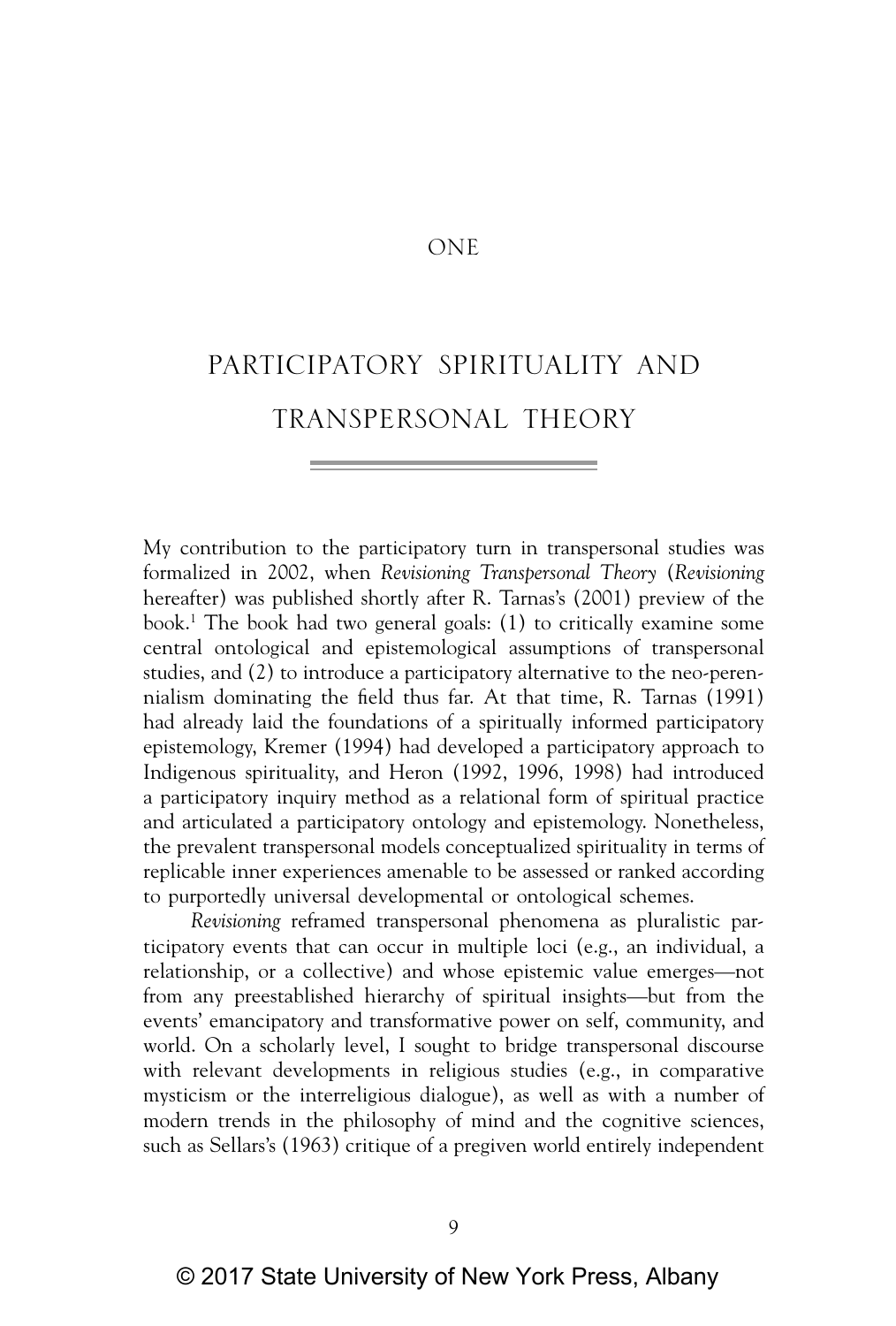## ONE

# PARTICIPATORY SPIRITUALITY AND TRANSPERSONAL THEORY

My contribution to the participatory turn in transpersonal studies was formalized in 2002, when *Revisioning Transpersonal Theory* (*Revisioning* hereafter) was published shortly after R. Tarnas's (2001) preview of the book.1 The book had two general goals: (1) to critically examine some central ontological and epistemological assumptions of transpersonal studies, and (2) to introduce a participatory alternative to the neo-perennialism dominating the field thus far. At that time, R. Tarnas (1991) had already laid the foundations of a spiritually informed participatory epistemology, Kremer (1994) had developed a participatory approach to Indigenous spirituality, and Heron (1992, 1996, 1998) had introduced a participatory inquiry method as a relational form of spiritual practice and articulated a participatory ontology and epistemology. Nonetheless, the prevalent transpersonal models conceptualized spirituality in terms of replicable inner experiences amenable to be assessed or ranked according to purportedly universal developmental or ontological schemes.

*Revisioning* reframed transpersonal phenomena as pluralistic participatory events that can occur in multiple loci (e.g., an individual, a relationship, or a collective) and whose epistemic value emerges—not from any preestablished hierarchy of spiritual insights—but from the events' emancipatory and transformative power on self, community, and world. On a scholarly level, I sought to bridge transpersonal discourse with relevant developments in religious studies (e.g., in comparative mysticism or the interreligious dialogue), as well as with a number of modern trends in the philosophy of mind and the cognitive sciences, such as Sellars's (1963) critique of a pregiven world entirely independent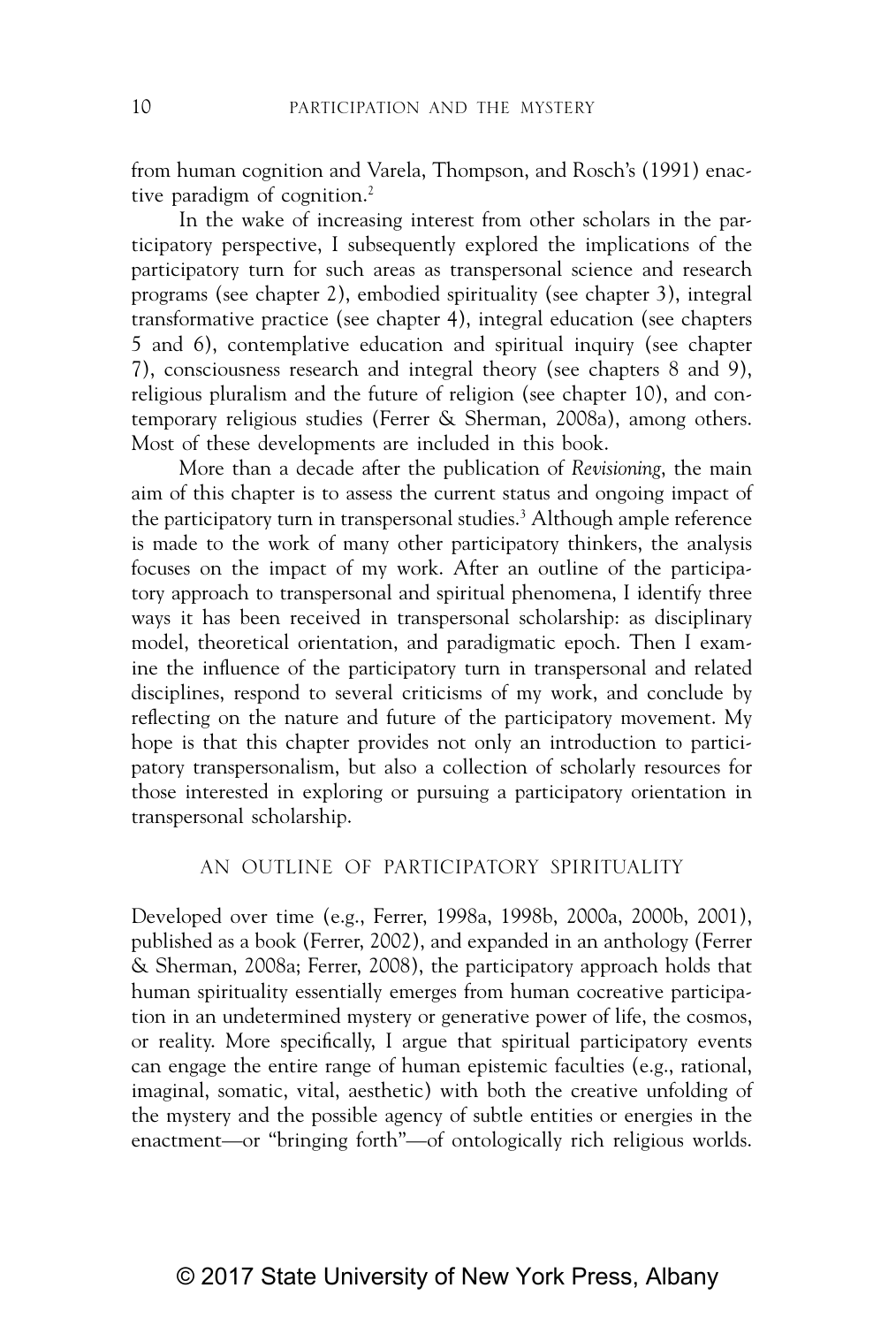from human cognition and Varela, Thompson, and Rosch's (1991) enactive paradigm of cognition.<sup>2</sup>

In the wake of increasing interest from other scholars in the participatory perspective, I subsequently explored the implications of the participatory turn for such areas as transpersonal science and research programs (see chapter 2), embodied spirituality (see chapter 3), integral transformative practice (see chapter 4), integral education (see chapters 5 and 6), contemplative education and spiritual inquiry (see chapter 7), consciousness research and integral theory (see chapters 8 and 9), religious pluralism and the future of religion (see chapter 10), and contemporary religious studies (Ferrer & Sherman, 2008a), among others. Most of these developments are included in this book.

More than a decade after the publication of *Revisioning*, the main aim of this chapter is to assess the current status and ongoing impact of the participatory turn in transpersonal studies.<sup>3</sup> Although ample reference is made to the work of many other participatory thinkers, the analysis focuses on the impact of my work. After an outline of the participatory approach to transpersonal and spiritual phenomena, I identify three ways it has been received in transpersonal scholarship: as disciplinary model, theoretical orientation, and paradigmatic epoch. Then I examine the influence of the participatory turn in transpersonal and related disciplines, respond to several criticisms of my work, and conclude by reflecting on the nature and future of the participatory movement. My hope is that this chapter provides not only an introduction to participatory transpersonalism, but also a collection of scholarly resources for those interested in exploring or pursuing a participatory orientation in transpersonal scholarship.

## AN OUTLINE OF PARTICIPATORY SPIRITUALITY

Developed over time (e.g., Ferrer, 1998a, 1998b, 2000a, 2000b, 2001), published as a book (Ferrer, 2002), and expanded in an anthology (Ferrer & Sherman, 2008a; Ferrer, 2008), the participatory approach holds that human spirituality essentially emerges from human cocreative participation in an undetermined mystery or generative power of life, the cosmos, or reality. More specifically, I argue that spiritual participatory events can engage the entire range of human epistemic faculties (e.g., rational, imaginal, somatic, vital, aesthetic) with both the creative unfolding of the mystery and the possible agency of subtle entities or energies in the enactment—or "bringing forth"—of ontologically rich religious worlds.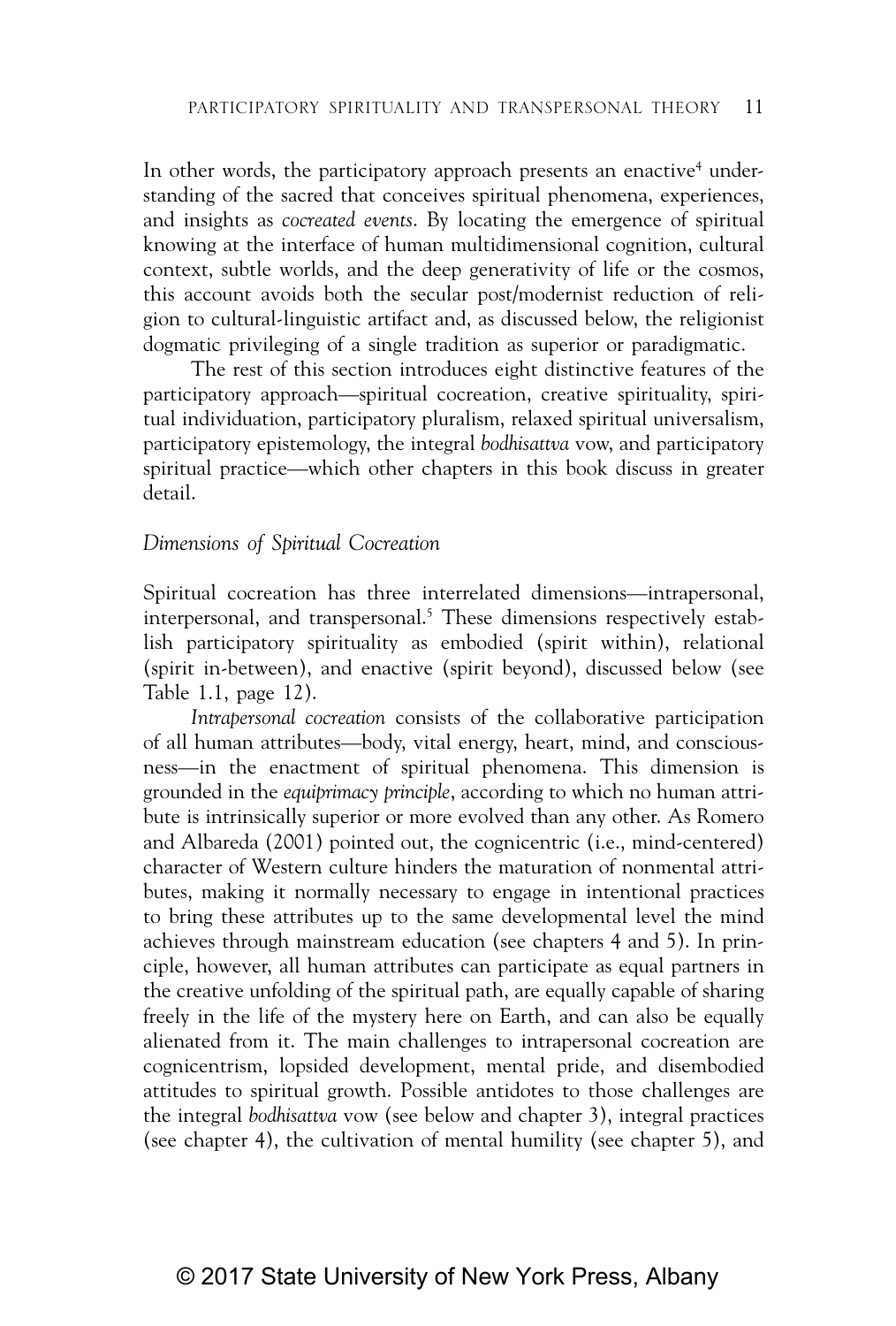In other words, the participatory approach presents an enactive<sup>4</sup> understanding of the sacred that conceives spiritual phenomena, experiences, and insights as *cocreated events*. By locating the emergence of spiritual knowing at the interface of human multidimensional cognition, cultural context, subtle worlds, and the deep generativity of life or the cosmos, this account avoids both the secular post/modernist reduction of religion to cultural-linguistic artifact and, as discussed below, the religionist dogmatic privileging of a single tradition as superior or paradigmatic.

The rest of this section introduces eight distinctive features of the participatory approach—spiritual cocreation, creative spirituality, spiritual individuation, participatory pluralism, relaxed spiritual universalism, participatory epistemology, the integral *bodhisattva* vow, and participatory spiritual practice—which other chapters in this book discuss in greater detail.

## *Dimensions of Spiritual Cocreation*

Spiritual cocreation has three interrelated dimensions—intrapersonal, interpersonal, and transpersonal.<sup>5</sup> These dimensions respectively establish participatory spirituality as embodied (spirit within), relational (spirit in-between), and enactive (spirit beyond), discussed below (see Table 1.1, page 12).

*Intrapersonal cocreation* consists of the collaborative participation of all human attributes—body, vital energy, heart, mind, and consciousness—in the enactment of spiritual phenomena. This dimension is grounded in the *equiprimacy principle*, according to which no human attribute is intrinsically superior or more evolved than any other. As Romero and Albareda (2001) pointed out, the cognicentric (i.e., mind-centered) character of Western culture hinders the maturation of nonmental attributes, making it normally necessary to engage in intentional practices to bring these attributes up to the same developmental level the mind achieves through mainstream education (see chapters 4 and 5). In principle, however, all human attributes can participate as equal partners in the creative unfolding of the spiritual path, are equally capable of sharing freely in the life of the mystery here on Earth, and can also be equally alienated from it. The main challenges to intrapersonal cocreation are cognicentrism, lopsided development, mental pride, and disembodied attitudes to spiritual growth. Possible antidotes to those challenges are the integral *bodhisattva* vow (see below and chapter 3), integral practices (see chapter 4), the cultivation of mental humility (see chapter 5), and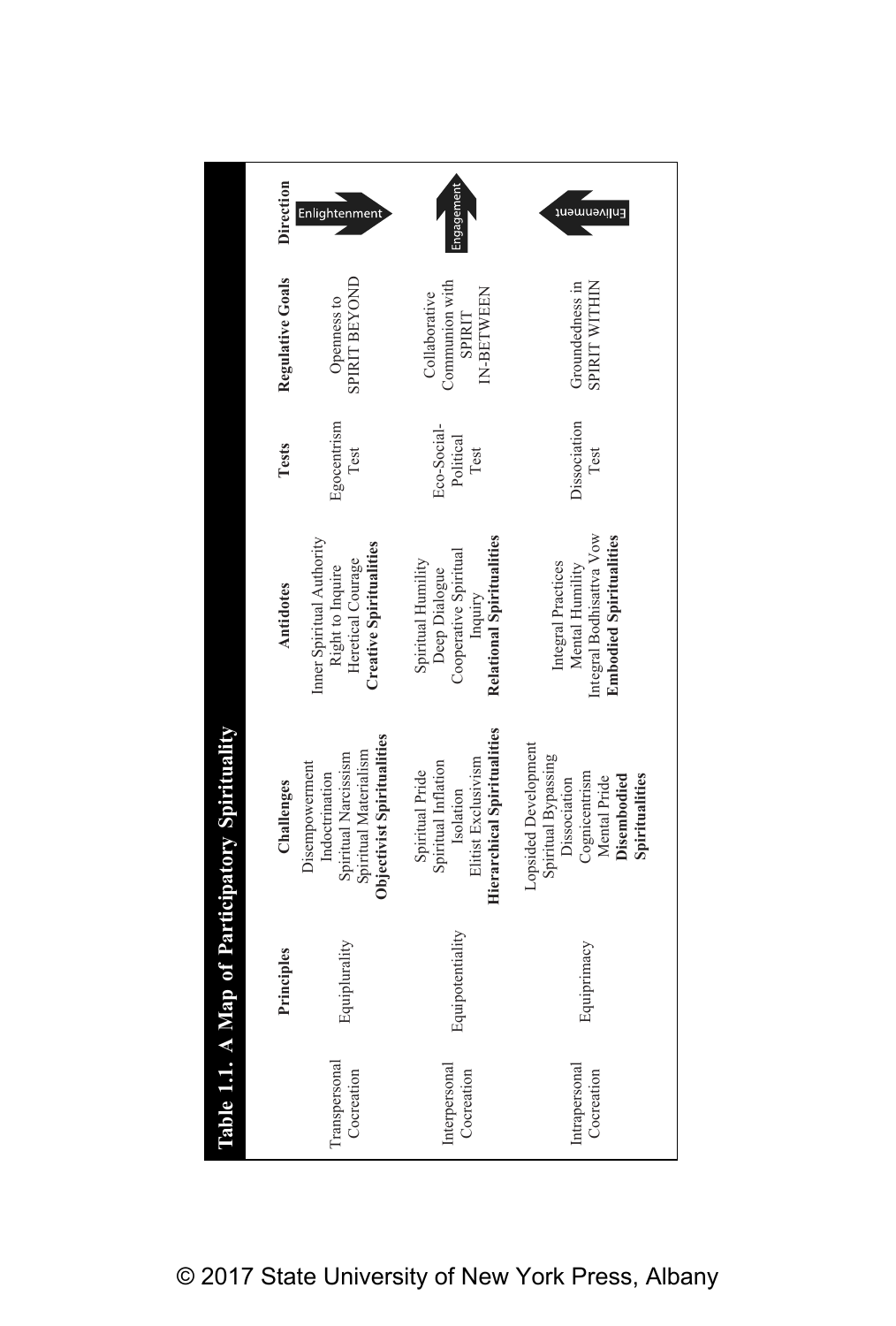|                             |                  | Table 1.1. A Map of Participatory Spirituality                                                                                       |                                                                                                             |                                  |                                                         |                      |
|-----------------------------|------------------|--------------------------------------------------------------------------------------------------------------------------------------|-------------------------------------------------------------------------------------------------------------|----------------------------------|---------------------------------------------------------|----------------------|
|                             | Principles       | Challenges                                                                                                                           | Antidotes                                                                                                   | Tests                            | Regulative Goals                                        | Direction            |
| Transpersonal<br>Cocreation | Equiplurality    | <b>Objectivist Spiritualities</b><br>Spiritual Materialism<br>Spiritual Narcissism<br>Disempowerment<br>Indoctrination               | Inner Spiritual Authority<br><b>Creative Spiritualities</b><br>Heretical Courage<br>Right to Inquire        | Egocentrism<br>Test              | <b>SPIRIT BEYOND</b><br>Openness to                     | <b>Enlightenment</b> |
| Interpersonal<br>Cocreation | Equipotentiality | <b>Hierarchical Spiritualities</b><br>Elitist Exclusivism<br>Spiritual Inflation<br>Spiritual Pride<br>Isolation                     | <b>Relational Spiritualities</b><br>Cooperative Spiritual<br>Spiritual Humility<br>Deep Dialogue<br>Inquiry | Eco-Social-<br>Political<br>Test | Communion with<br>IN-BETWEEN<br>Collaborative<br>SPIRIT | Engagement           |
| Intrapersonal<br>Cocreation | Equiprimacy      | Lopsided Development<br>Spiritual Bypassing<br>Cognicentrism<br>Disembodied<br>Mental Pride<br><b>Spiritualities</b><br>Dissociation | Integral Bodhisattva Vow<br><b>Embodied Spiritualities</b><br>Integral Practices<br>Mental Humility         | Dissociation<br>Test             | Groundedness in<br><b>SPIRIT WITHIN</b>                 | Enlivenment<br>t     |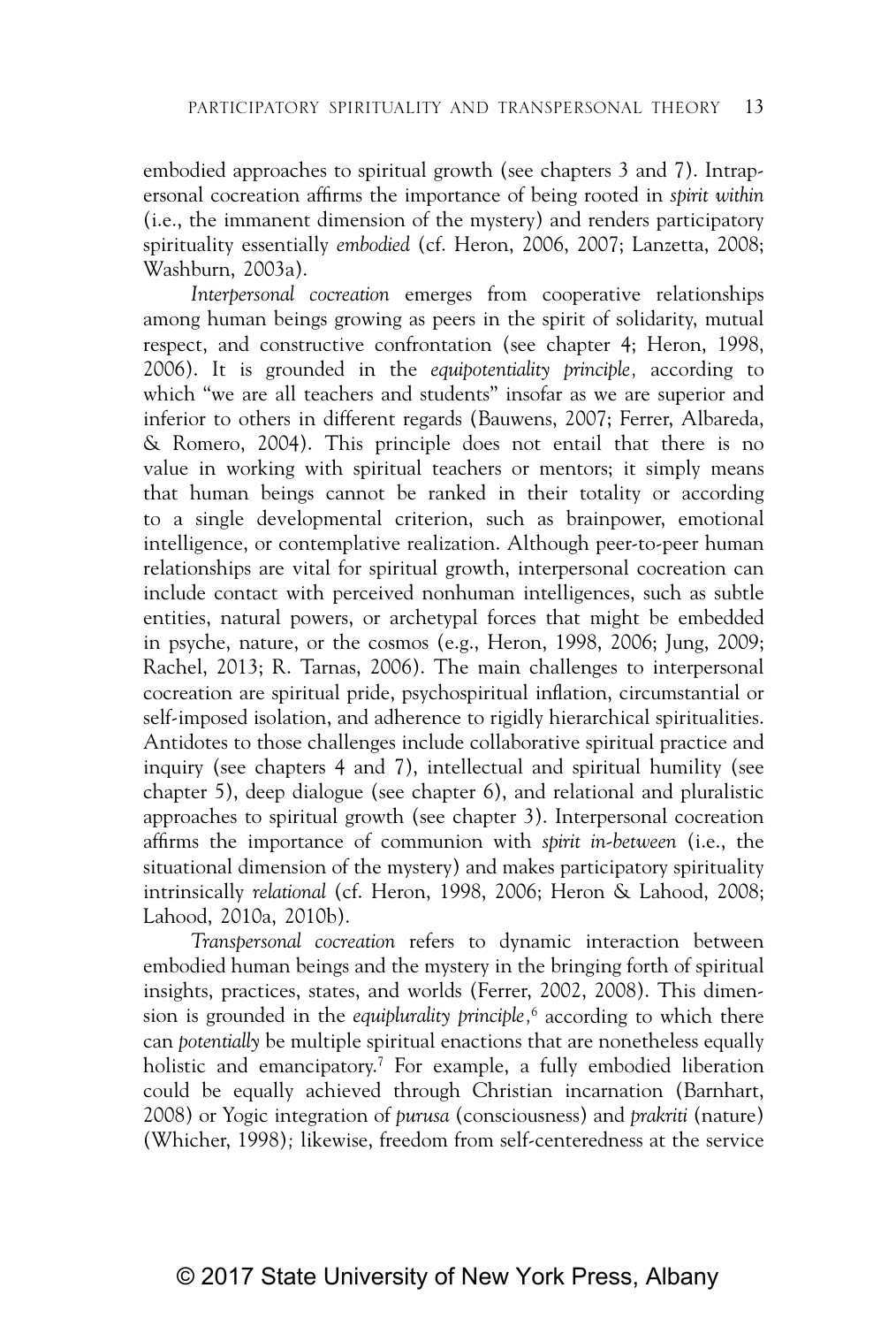embodied approaches to spiritual growth (see chapters 3 and 7). Intrapersonal cocreation affirms the importance of being rooted in *spirit within* (i.e., the immanent dimension of the mystery) and renders participatory spirituality essentially *embodied* (cf. Heron, 2006, 2007; Lanzetta, 2008; Washburn, 2003a).

*Interpersonal cocreation* emerges from cooperative relationships among human beings growing as peers in the spirit of solidarity, mutual respect, and constructive confrontation (see chapter 4; Heron, 1998, 2006). It is grounded in the *equipotentiality principle,* according to which "we are all teachers and students" insofar as we are superior and inferior to others in different regards (Bauwens, 2007; Ferrer, Albareda, & Romero, 2004). This principle does not entail that there is no value in working with spiritual teachers or mentors; it simply means that human beings cannot be ranked in their totality or according to a single developmental criterion, such as brainpower, emotional intelligence, or contemplative realization. Although peer-to-peer human relationships are vital for spiritual growth, interpersonal cocreation can include contact with perceived nonhuman intelligences, such as subtle entities, natural powers, or archetypal forces that might be embedded in psyche, nature, or the cosmos (e.g., Heron, 1998, 2006; Jung, 2009; Rachel, 2013; R. Tarnas, 2006). The main challenges to interpersonal cocreation are spiritual pride, psychospiritual inflation, circumstantial or self-imposed isolation, and adherence to rigidly hierarchical spiritualities. Antidotes to those challenges include collaborative spiritual practice and inquiry (see chapters 4 and 7), intellectual and spiritual humility (see chapter 5), deep dialogue (see chapter 6), and relational and pluralistic approaches to spiritual growth (see chapter 3). Interpersonal cocreation affirms the importance of communion with *spirit in-between* (i.e., the situational dimension of the mystery) and makes participatory spirituality intrinsically *relational* (cf. Heron, 1998, 2006; Heron & Lahood, 2008; Lahood, 2010a, 2010b).

*Transpersonal cocreation* refers to dynamic interaction between embodied human beings and the mystery in the bringing forth of spiritual insights, practices, states, and worlds (Ferrer, 2002, 2008). This dimension is grounded in the *equiplurality principle,*<sup>6</sup> according to which there can *potentially* be multiple spiritual enactions that are nonetheless equally holistic and emancipatory.<sup>7</sup> For example, a fully embodied liberation could be equally achieved through Christian incarnation (Barnhart, 2008) or Yogic integration of *purusa* (consciousness) and *prakriti* (nature) (Whicher, 1998)*;* likewise, freedom from self-centeredness at the service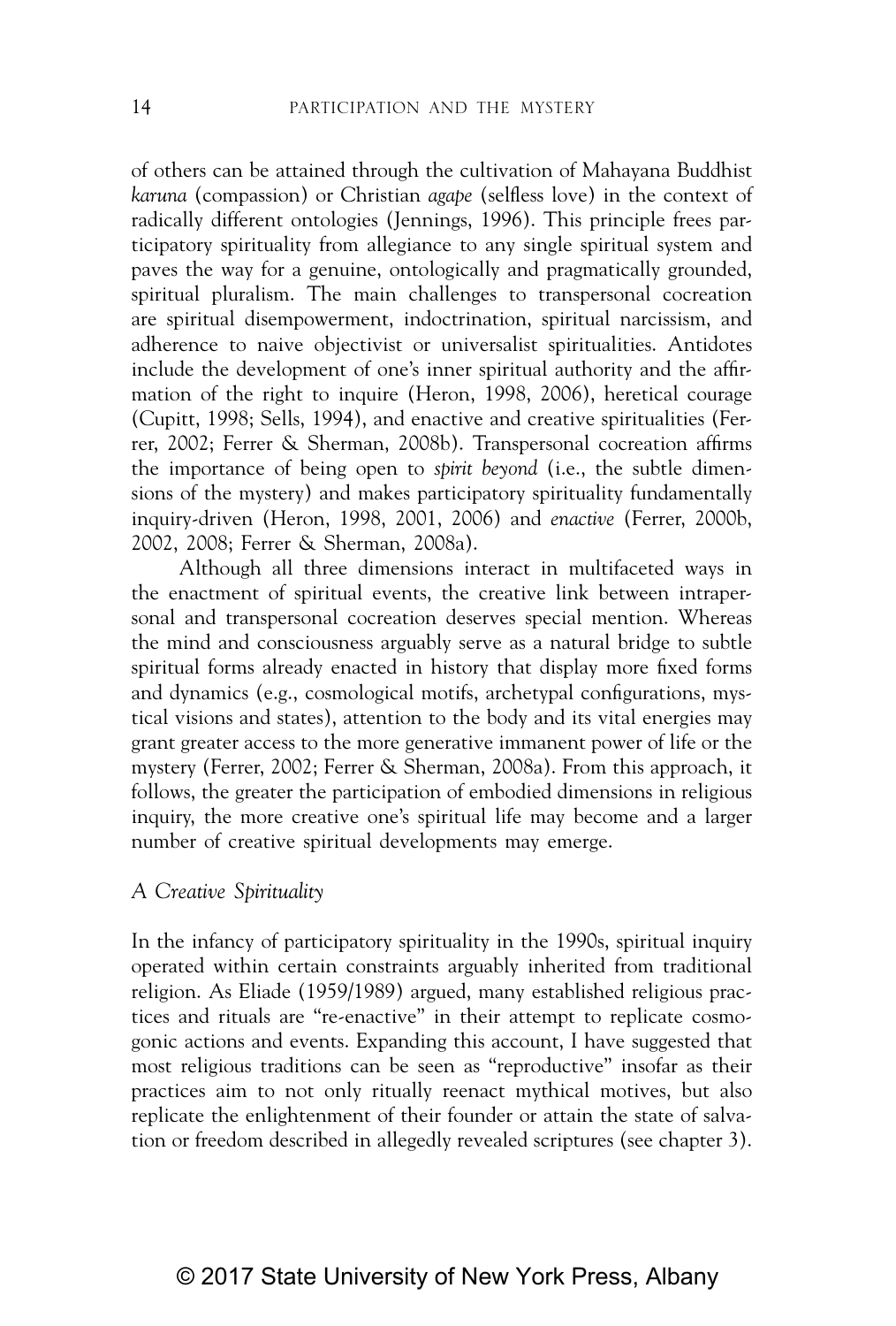of others can be attained through the cultivation of Mahayana Buddhist *karuna* (compassion) or Christian *agape* (selfless love) in the context of radically different ontologies (Jennings, 1996). This principle frees participatory spirituality from allegiance to any single spiritual system and paves the way for a genuine, ontologically and pragmatically grounded, spiritual pluralism. The main challenges to transpersonal cocreation are spiritual disempowerment, indoctrination, spiritual narcissism, and adherence to naive objectivist or universalist spiritualities. Antidotes include the development of one's inner spiritual authority and the affirmation of the right to inquire (Heron, 1998, 2006), heretical courage (Cupitt, 1998; Sells, 1994), and enactive and creative spiritualities (Ferrer, 2002; Ferrer & Sherman, 2008b). Transpersonal cocreation affirms the importance of being open to *spirit beyond* (i.e., the subtle dimensions of the mystery) and makes participatory spirituality fundamentally inquiry-driven (Heron, 1998, 2001, 2006) and *enactive* (Ferrer, 2000b, 2002, 2008; Ferrer & Sherman, 2008a).

Although all three dimensions interact in multifaceted ways in the enactment of spiritual events, the creative link between intrapersonal and transpersonal cocreation deserves special mention. Whereas the mind and consciousness arguably serve as a natural bridge to subtle spiritual forms already enacted in history that display more fixed forms and dynamics (e.g., cosmological motifs, archetypal configurations, mystical visions and states), attention to the body and its vital energies may grant greater access to the more generative immanent power of life or the mystery (Ferrer, 2002; Ferrer & Sherman, 2008a). From this approach, it follows, the greater the participation of embodied dimensions in religious inquiry, the more creative one's spiritual life may become and a larger number of creative spiritual developments may emerge.

#### *A Creative Spirituality*

In the infancy of participatory spirituality in the 1990s, spiritual inquiry operated within certain constraints arguably inherited from traditional religion. As Eliade (1959/1989) argued, many established religious practices and rituals are "re-enactive" in their attempt to replicate cosmogonic actions and events. Expanding this account, I have suggested that most religious traditions can be seen as "reproductive" insofar as their practices aim to not only ritually reenact mythical motives, but also replicate the enlightenment of their founder or attain the state of salvation or freedom described in allegedly revealed scriptures (see chapter 3).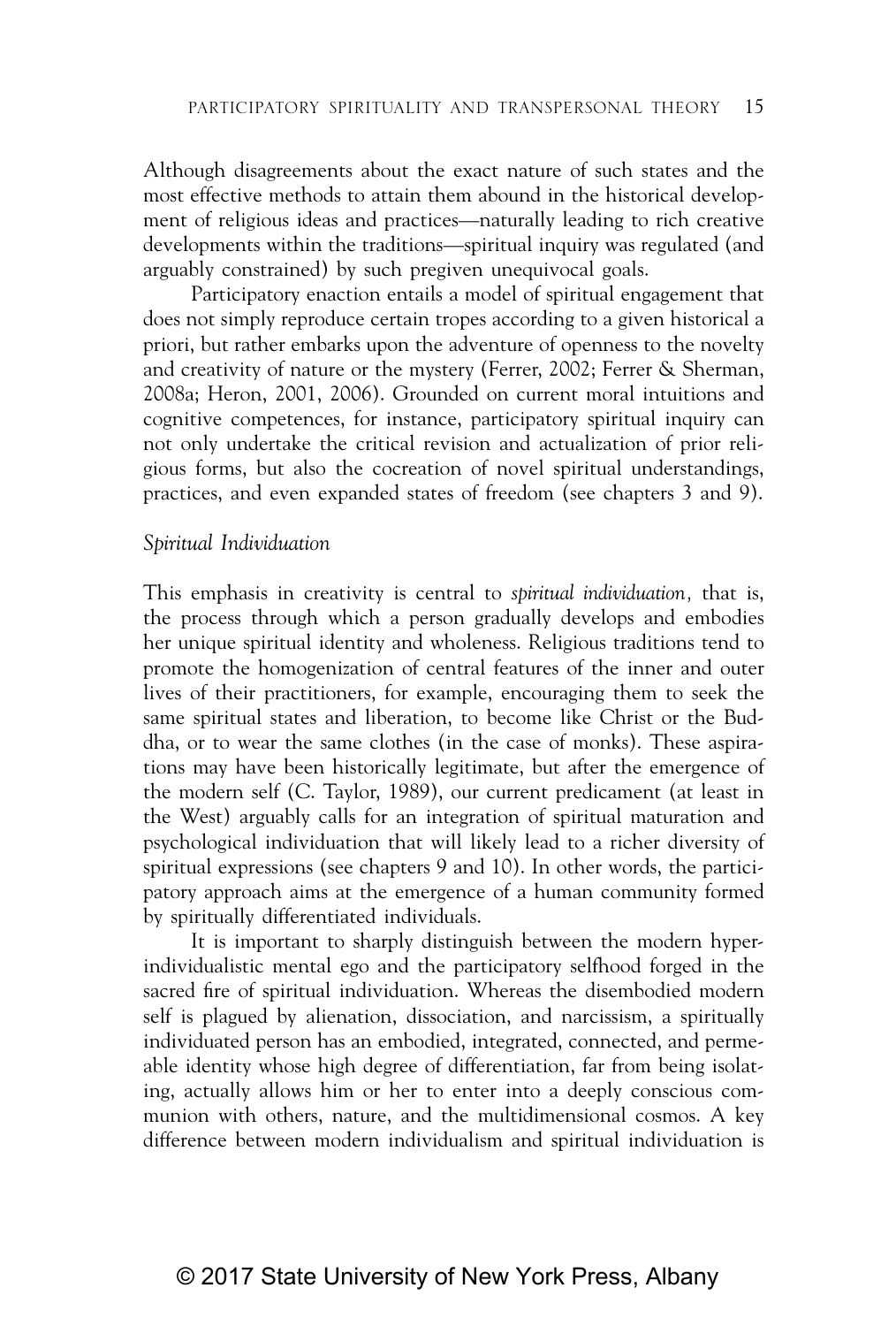Although disagreements about the exact nature of such states and the most effective methods to attain them abound in the historical development of religious ideas and practices—naturally leading to rich creative developments within the traditions—spiritual inquiry was regulated (and arguably constrained) by such pregiven unequivocal goals.

Participatory enaction entails a model of spiritual engagement that does not simply reproduce certain tropes according to a given historical a priori, but rather embarks upon the adventure of openness to the novelty and creativity of nature or the mystery (Ferrer, 2002; Ferrer & Sherman, 2008a; Heron, 2001, 2006). Grounded on current moral intuitions and cognitive competences, for instance, participatory spiritual inquiry can not only undertake the critical revision and actualization of prior religious forms, but also the cocreation of novel spiritual understandings, practices, and even expanded states of freedom (see chapters 3 and 9).

#### *Spiritual Individuation*

This emphasis in creativity is central to *spiritual individuation,* that is, the process through which a person gradually develops and embodies her unique spiritual identity and wholeness. Religious traditions tend to promote the homogenization of central features of the inner and outer lives of their practitioners, for example, encouraging them to seek the same spiritual states and liberation, to become like Christ or the Buddha, or to wear the same clothes (in the case of monks). These aspirations may have been historically legitimate, but after the emergence of the modern self (C. Taylor, 1989), our current predicament (at least in the West) arguably calls for an integration of spiritual maturation and psychological individuation that will likely lead to a richer diversity of spiritual expressions (see chapters 9 and 10). In other words, the participatory approach aims at the emergence of a human community formed by spiritually differentiated individuals.

It is important to sharply distinguish between the modern hyperindividualistic mental ego and the participatory selfhood forged in the sacred fire of spiritual individuation. Whereas the disembodied modern self is plagued by alienation, dissociation, and narcissism, a spiritually individuated person has an embodied, integrated, connected, and permeable identity whose high degree of differentiation, far from being isolating, actually allows him or her to enter into a deeply conscious communion with others, nature, and the multidimensional cosmos. A key difference between modern individualism and spiritual individuation is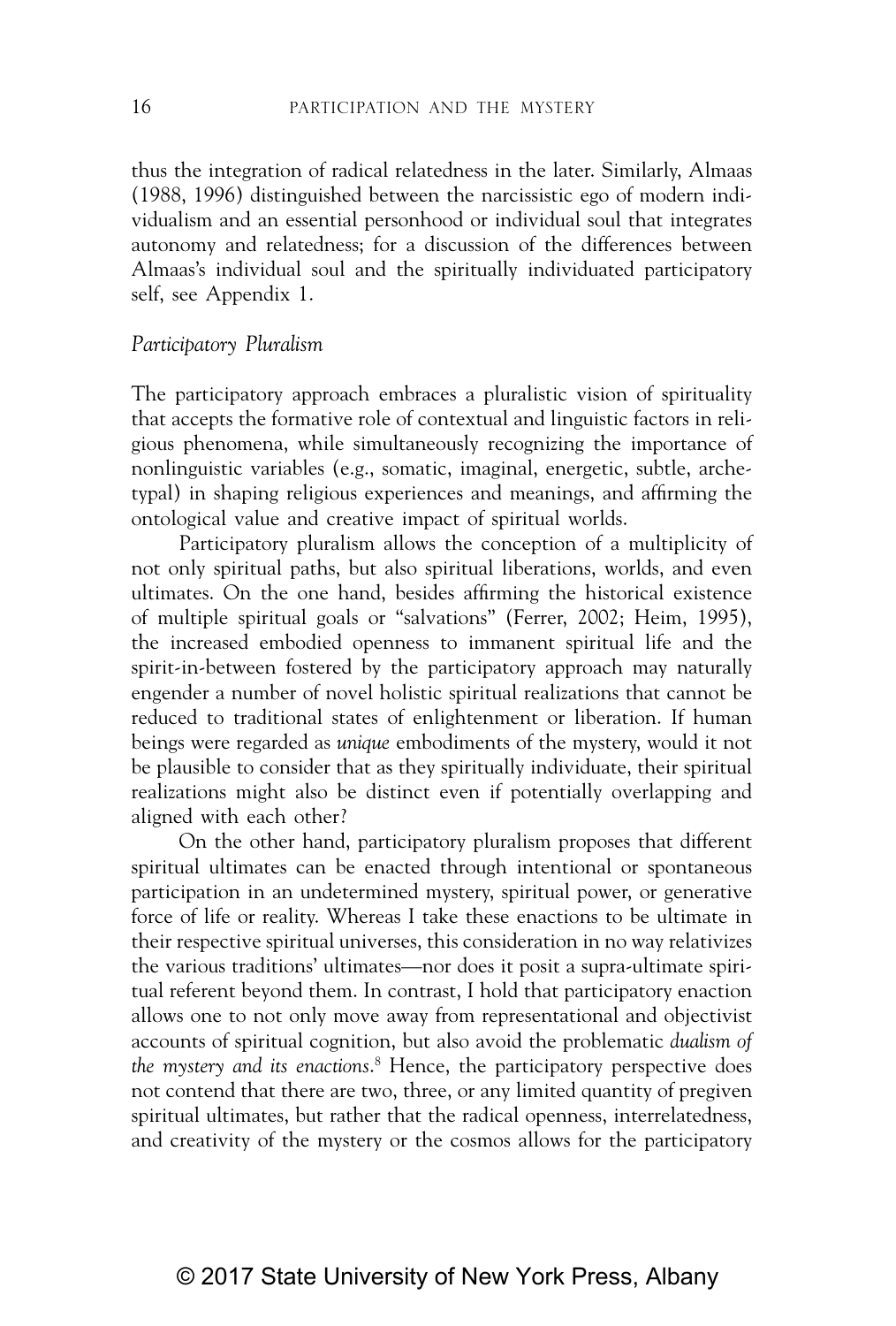thus the integration of radical relatedness in the later. Similarly, Almaas (1988, 1996) distinguished between the narcissistic ego of modern individualism and an essential personhood or individual soul that integrates autonomy and relatedness; for a discussion of the differences between Almaas's individual soul and the spiritually individuated participatory self, see Appendix 1.

## *Participatory Pluralism*

The participatory approach embraces a pluralistic vision of spirituality that accepts the formative role of contextual and linguistic factors in religious phenomena, while simultaneously recognizing the importance of nonlinguistic variables (e.g., somatic, imaginal, energetic, subtle, archetypal) in shaping religious experiences and meanings, and affirming the ontological value and creative impact of spiritual worlds.

Participatory pluralism allows the conception of a multiplicity of not only spiritual paths, but also spiritual liberations, worlds, and even ultimates. On the one hand, besides affirming the historical existence of multiple spiritual goals or "salvations" (Ferrer, 2002; Heim, 1995), the increased embodied openness to immanent spiritual life and the spirit-in-between fostered by the participatory approach may naturally engender a number of novel holistic spiritual realizations that cannot be reduced to traditional states of enlightenment or liberation. If human beings were regarded as *unique* embodiments of the mystery, would it not be plausible to consider that as they spiritually individuate, their spiritual realizations might also be distinct even if potentially overlapping and aligned with each other?

On the other hand, participatory pluralism proposes that different spiritual ultimates can be enacted through intentional or spontaneous participation in an undetermined mystery, spiritual power, or generative force of life or reality. Whereas I take these enactions to be ultimate in their respective spiritual universes, this consideration in no way relativizes the various traditions' ultimates—nor does it posit a supra-ultimate spiritual referent beyond them. In contrast, I hold that participatory enaction allows one to not only move away from representational and objectivist accounts of spiritual cognition, but also avoid the problematic *dualism of the mystery and its enactions*. 8 Hence, the participatory perspective does not contend that there are two, three, or any limited quantity of pregiven spiritual ultimates, but rather that the radical openness, interrelatedness, and creativity of the mystery or the cosmos allows for the participatory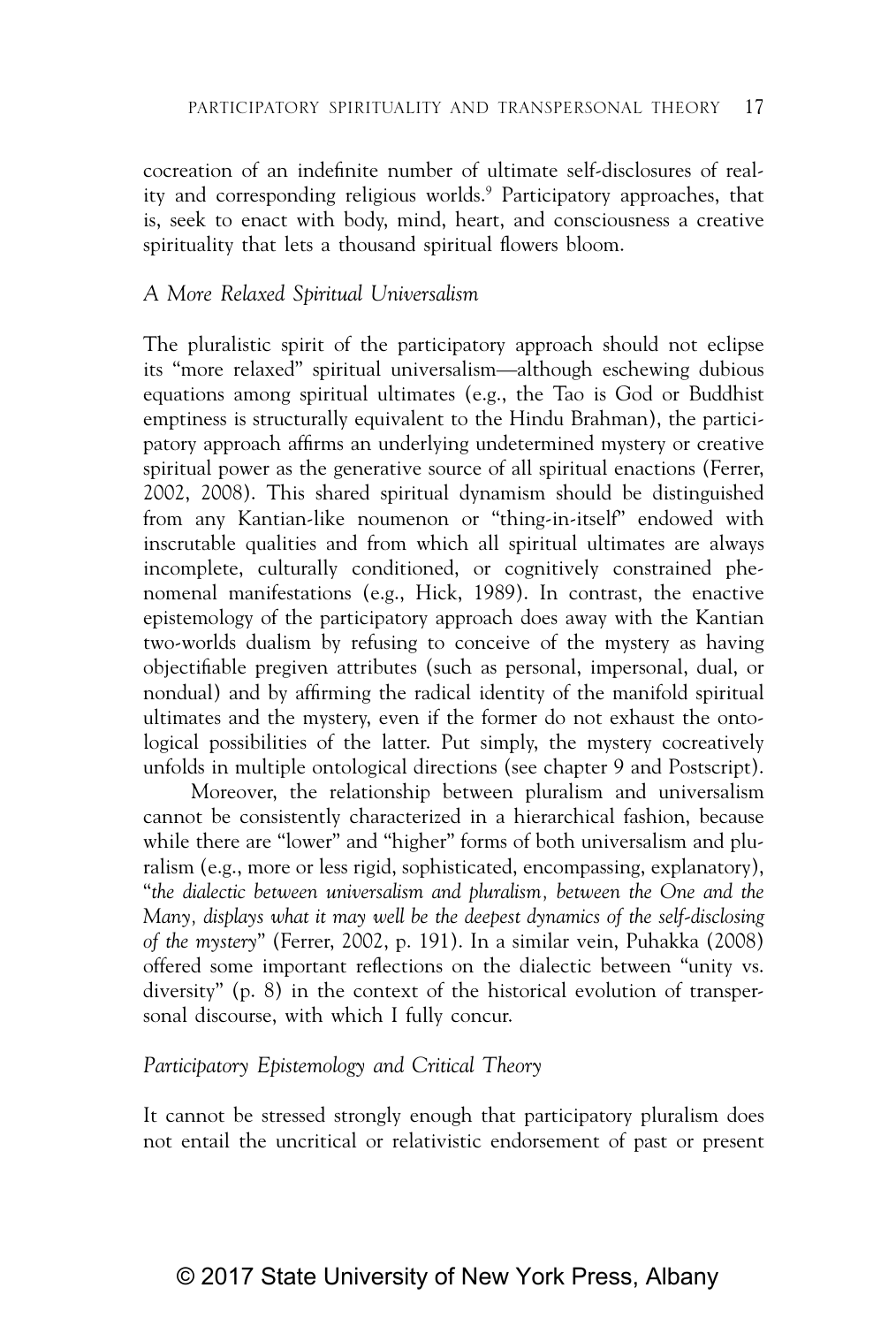cocreation of an indefinite number of ultimate self-disclosures of reality and corresponding religious worlds.<sup>9</sup> Participatory approaches, that is, seek to enact with body, mind, heart, and consciousness a creative spirituality that lets a thousand spiritual flowers bloom.

## *A More Relaxed Spiritual Universalism*

The pluralistic spirit of the participatory approach should not eclipse its "more relaxed" spiritual universalism—although eschewing dubious equations among spiritual ultimates (e.g., the Tao is God or Buddhist emptiness is structurally equivalent to the Hindu Brahman), the participatory approach affirms an underlying undetermined mystery or creative spiritual power as the generative source of all spiritual enactions (Ferrer, 2002, 2008). This shared spiritual dynamism should be distinguished from any Kantian-like noumenon or "thing-in-itself" endowed with inscrutable qualities and from which all spiritual ultimates are always incomplete, culturally conditioned, or cognitively constrained phenomenal manifestations (e.g., Hick, 1989). In contrast, the enactive epistemology of the participatory approach does away with the Kantian two-worlds dualism by refusing to conceive of the mystery as having objectifiable pregiven attributes (such as personal, impersonal, dual, or nondual) and by affirming the radical identity of the manifold spiritual ultimates and the mystery, even if the former do not exhaust the ontological possibilities of the latter. Put simply, the mystery cocreatively unfolds in multiple ontological directions (see chapter 9 and Postscript).

Moreover, the relationship between pluralism and universalism cannot be consistently characterized in a hierarchical fashion, because while there are "lower" and "higher" forms of both universalism and pluralism (e.g., more or less rigid, sophisticated, encompassing, explanatory), "*the dialectic between universalism and pluralism, between the One and the Many, displays what it may well be the deepest dynamics of the self-disclosing of the mystery*" (Ferrer, 2002, p. 191). In a similar vein, Puhakka (2008) offered some important reflections on the dialectic between "unity vs. diversity" (p. 8) in the context of the historical evolution of transpersonal discourse, with which I fully concur.

## *Participatory Epistemology and Critical Theory*

It cannot be stressed strongly enough that participatory pluralism does not entail the uncritical or relativistic endorsement of past or present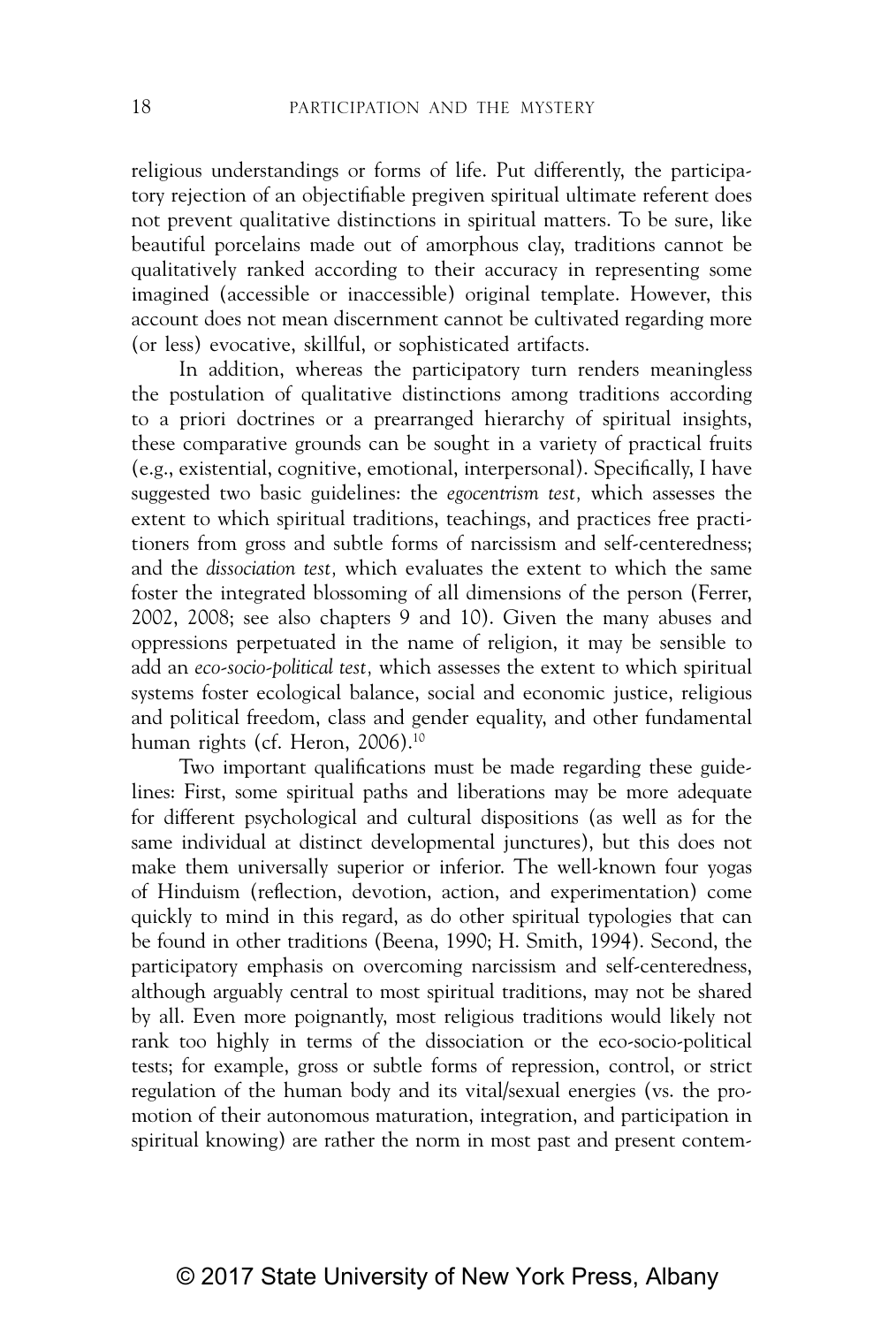religious understandings or forms of life. Put differently, the participatory rejection of an objectifiable pregiven spiritual ultimate referent does not prevent qualitative distinctions in spiritual matters. To be sure, like beautiful porcelains made out of amorphous clay, traditions cannot be qualitatively ranked according to their accuracy in representing some imagined (accessible or inaccessible) original template. However, this account does not mean discernment cannot be cultivated regarding more (or less) evocative, skillful, or sophisticated artifacts.

In addition, whereas the participatory turn renders meaningless the postulation of qualitative distinctions among traditions according to a priori doctrines or a prearranged hierarchy of spiritual insights, these comparative grounds can be sought in a variety of practical fruits (e.g., existential, cognitive, emotional, interpersonal). Specifically, I have suggested two basic guidelines: the *egocentrism test,* which assesses the extent to which spiritual traditions, teachings, and practices free practitioners from gross and subtle forms of narcissism and self-centeredness; and the *dissociation test,* which evaluates the extent to which the same foster the integrated blossoming of all dimensions of the person (Ferrer, 2002, 2008; see also chapters 9 and 10). Given the many abuses and oppressions perpetuated in the name of religion, it may be sensible to add an *eco-socio-political test,* which assesses the extent to which spiritual systems foster ecological balance, social and economic justice, religious and political freedom, class and gender equality, and other fundamental human rights (cf. Heron, 2006).<sup>10</sup>

Two important qualifications must be made regarding these guidelines: First, some spiritual paths and liberations may be more adequate for different psychological and cultural dispositions (as well as for the same individual at distinct developmental junctures), but this does not make them universally superior or inferior. The well-known four yogas of Hinduism (reflection, devotion, action, and experimentation) come quickly to mind in this regard, as do other spiritual typologies that can be found in other traditions (Beena, 1990; H. Smith, 1994). Second, the participatory emphasis on overcoming narcissism and self-centeredness, although arguably central to most spiritual traditions, may not be shared by all. Even more poignantly, most religious traditions would likely not rank too highly in terms of the dissociation or the eco-socio-political tests; for example, gross or subtle forms of repression, control, or strict regulation of the human body and its vital/sexual energies (vs. the promotion of their autonomous maturation, integration, and participation in spiritual knowing) are rather the norm in most past and present contem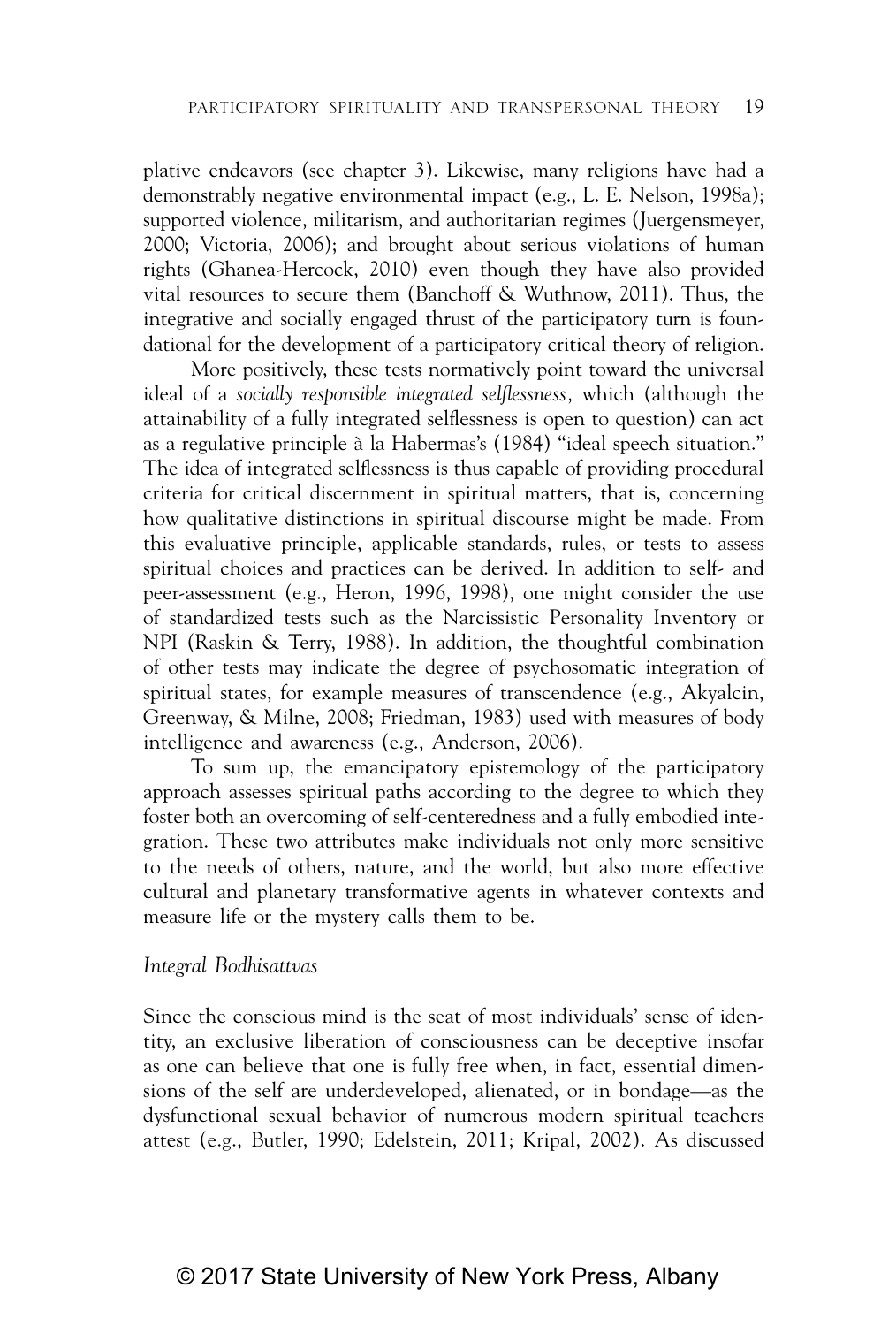plative endeavors (see chapter 3). Likewise, many religions have had a demonstrably negative environmental impact (e.g., L. E. Nelson, 1998a); supported violence, militarism, and authoritarian regimes (Juergensmeyer, 2000; Victoria, 2006); and brought about serious violations of human rights (Ghanea-Hercock, 2010) even though they have also provided vital resources to secure them (Banchoff & Wuthnow, 2011). Thus, the integrative and socially engaged thrust of the participatory turn is foundational for the development of a participatory critical theory of religion.

More positively, these tests normatively point toward the universal ideal of a *socially responsible integrated selflessness,* which (although the attainability of a fully integrated selflessness is open to question) can act as a regulative principle à la Habermas's (1984) "ideal speech situation." The idea of integrated selflessness is thus capable of providing procedural criteria for critical discernment in spiritual matters, that is, concerning how qualitative distinctions in spiritual discourse might be made. From this evaluative principle, applicable standards, rules, or tests to assess spiritual choices and practices can be derived. In addition to self- and peer-assessment (e.g., Heron, 1996, 1998), one might consider the use of standardized tests such as the Narcissistic Personality Inventory or NPI (Raskin & Terry, 1988). In addition, the thoughtful combination of other tests may indicate the degree of psychosomatic integration of spiritual states, for example measures of transcendence (e.g., Akyalcin, Greenway, & Milne, 2008; Friedman, 1983) used with measures of body intelligence and awareness (e.g., Anderson, 2006).

To sum up, the emancipatory epistemology of the participatory approach assesses spiritual paths according to the degree to which they foster both an overcoming of self-centeredness and a fully embodied integration. These two attributes make individuals not only more sensitive to the needs of others, nature, and the world, but also more effective cultural and planetary transformative agents in whatever contexts and measure life or the mystery calls them to be.

#### *Integral Bodhisattvas*

Since the conscious mind is the seat of most individuals' sense of identity, an exclusive liberation of consciousness can be deceptive insofar as one can believe that one is fully free when, in fact, essential dimensions of the self are underdeveloped, alienated, or in bondage—as the dysfunctional sexual behavior of numerous modern spiritual teachers attest (e.g., Butler, 1990; Edelstein, 2011; Kripal, 2002). As discussed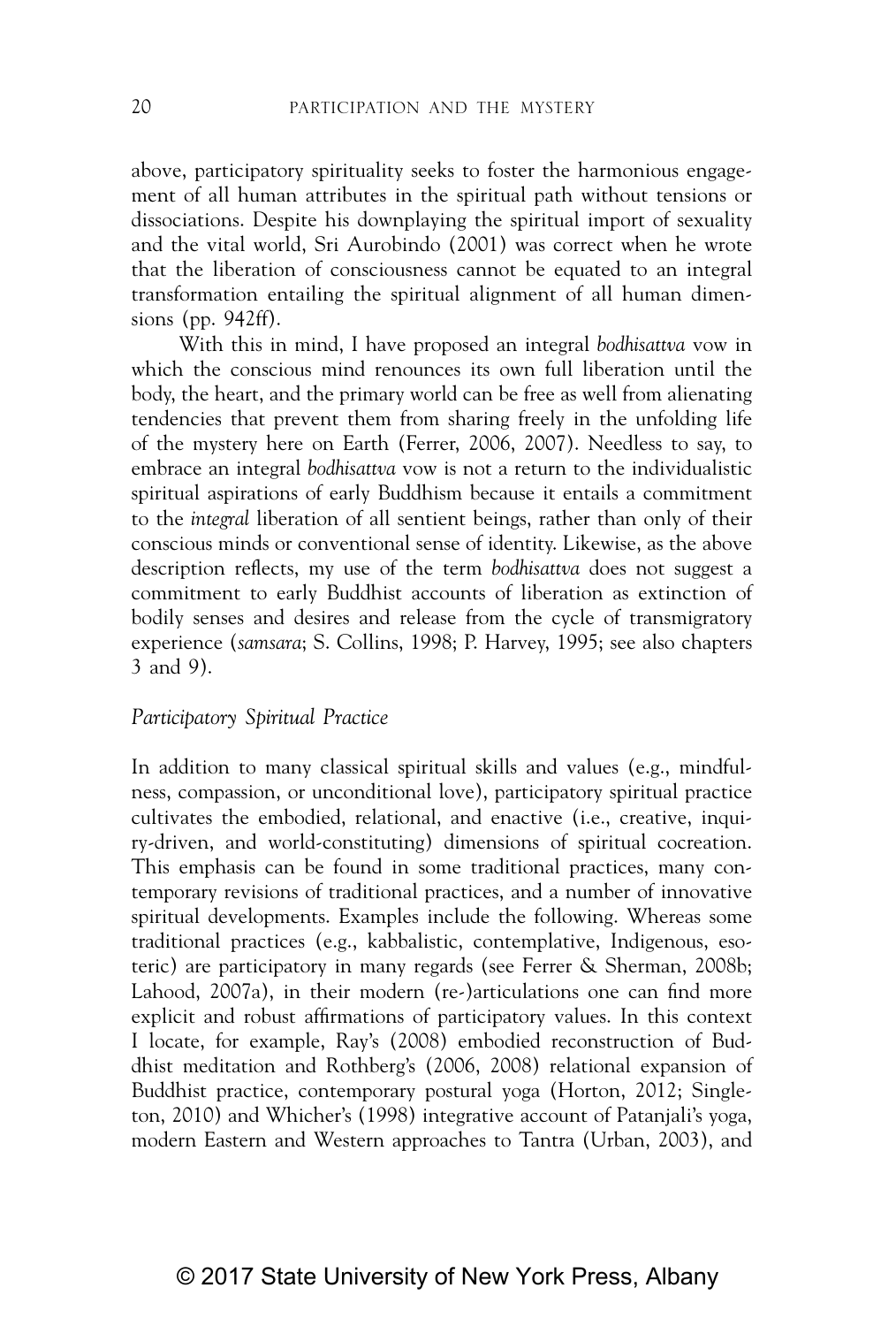above, participatory spirituality seeks to foster the harmonious engagement of all human attributes in the spiritual path without tensions or dissociations. Despite his downplaying the spiritual import of sexuality and the vital world, Sri Aurobindo (2001) was correct when he wrote that the liberation of consciousness cannot be equated to an integral transformation entailing the spiritual alignment of all human dimensions (pp. 942ff).

With this in mind, I have proposed an integral *bodhisattva* vow in which the conscious mind renounces its own full liberation until the body, the heart, and the primary world can be free as well from alienating tendencies that prevent them from sharing freely in the unfolding life of the mystery here on Earth (Ferrer, 2006, 2007). Needless to say, to embrace an integral *bodhisattva* vow is not a return to the individualistic spiritual aspirations of early Buddhism because it entails a commitment to the *integral* liberation of all sentient beings, rather than only of their conscious minds or conventional sense of identity. Likewise, as the above description reflects, my use of the term *bodhisattva* does not suggest a commitment to early Buddhist accounts of liberation as extinction of bodily senses and desires and release from the cycle of transmigratory experience (*samsara*; S. Collins, 1998; P. Harvey, 1995; see also chapters 3 and 9).

#### *Participatory Spiritual Practice*

In addition to many classical spiritual skills and values (e.g., mindfulness, compassion, or unconditional love), participatory spiritual practice cultivates the embodied, relational, and enactive (i.e., creative, inquiry-driven, and world-constituting) dimensions of spiritual cocreation. This emphasis can be found in some traditional practices, many contemporary revisions of traditional practices, and a number of innovative spiritual developments. Examples include the following. Whereas some traditional practices (e.g., kabbalistic, contemplative, Indigenous, esoteric) are participatory in many regards (see Ferrer & Sherman, 2008b; Lahood, 2007a), in their modern (re-)articulations one can find more explicit and robust affirmations of participatory values. In this context I locate, for example, Ray's (2008) embodied reconstruction of Buddhist meditation and Rothberg's (2006, 2008) relational expansion of Buddhist practice, contemporary postural yoga (Horton, 2012; Singleton, 2010) and Whicher's (1998) integrative account of Patanjali's yoga, modern Eastern and Western approaches to Tantra (Urban, 2003), and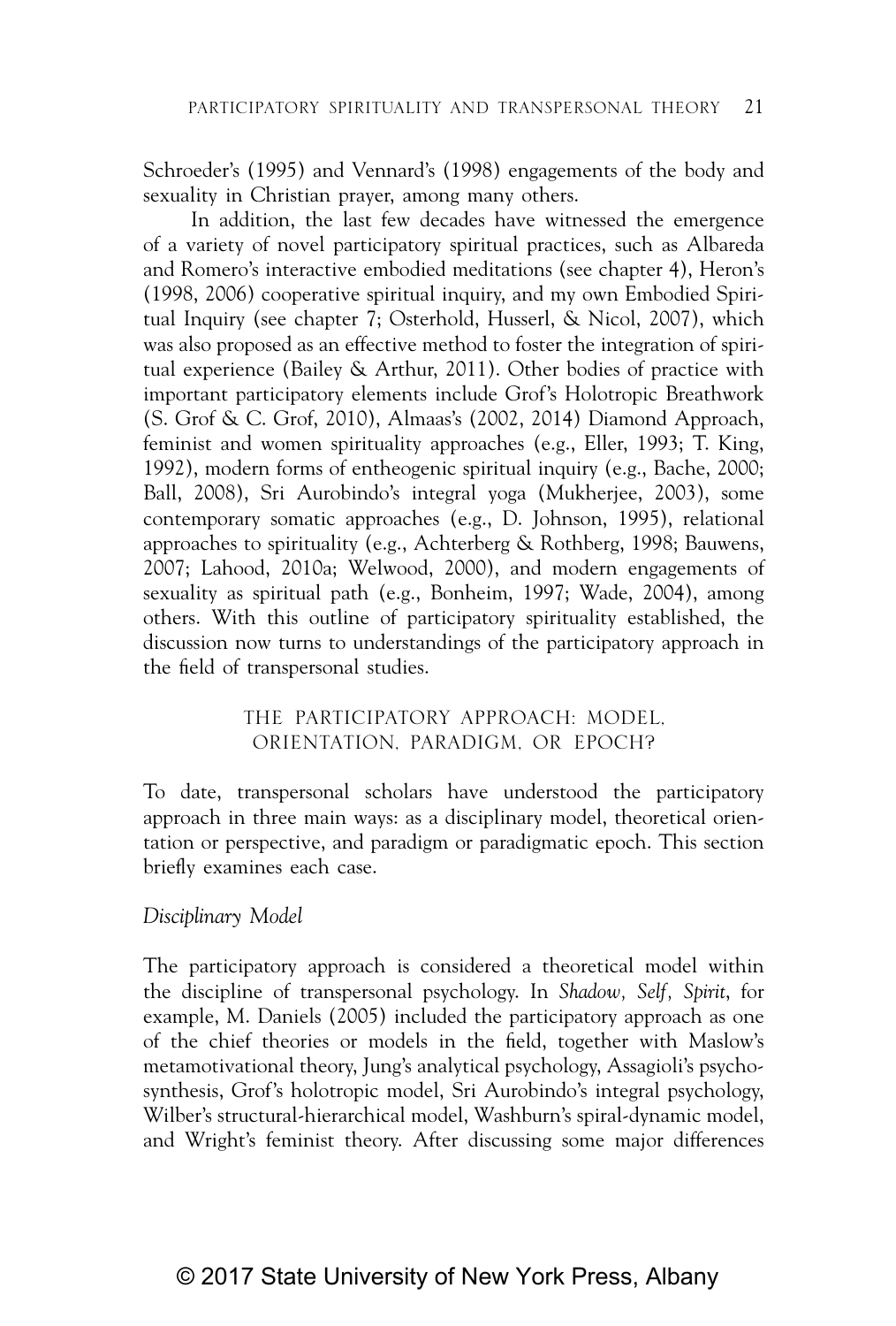Schroeder's (1995) and Vennard's (1998) engagements of the body and sexuality in Christian prayer, among many others.

In addition, the last few decades have witnessed the emergence of a variety of novel participatory spiritual practices, such as Albareda and Romero's interactive embodied meditations (see chapter 4), Heron's (1998, 2006) cooperative spiritual inquiry, and my own Embodied Spiritual Inquiry (see chapter 7; Osterhold, Husserl, & Nicol, 2007), which was also proposed as an effective method to foster the integration of spiritual experience (Bailey & Arthur, 2011). Other bodies of practice with important participatory elements include Grof's Holotropic Breathwork (S. Grof & C. Grof, 2010), Almaas's (2002, 2014) Diamond Approach, feminist and women spirituality approaches (e.g., Eller, 1993; T. King, 1992), modern forms of entheogenic spiritual inquiry (e.g., Bache, 2000; Ball, 2008), Sri Aurobindo's integral yoga (Mukherjee, 2003), some contemporary somatic approaches (e.g., D. Johnson, 1995), relational approaches to spirituality (e.g., Achterberg & Rothberg, 1998; Bauwens, 2007; Lahood, 2010a; Welwood, 2000), and modern engagements of sexuality as spiritual path (e.g., Bonheim, 1997; Wade, 2004), among others. With this outline of participatory spirituality established, the discussion now turns to understandings of the participatory approach in the field of transpersonal studies.

## THE PARTICIPATORY APPROACH: MODEL, ORIENTATION, PARADIGM, OR EPOCH?

To date, transpersonal scholars have understood the participatory approach in three main ways: as a disciplinary model, theoretical orientation or perspective, and paradigm or paradigmatic epoch. This section briefly examines each case.

## *Disciplinary Model*

The participatory approach is considered a theoretical model within the discipline of transpersonal psychology. In *Shadow, Self, Spirit*, for example, M. Daniels (2005) included the participatory approach as one of the chief theories or models in the field, together with Maslow's metamotivational theory, Jung's analytical psychology, Assagioli's psychosynthesis, Grof's holotropic model, Sri Aurobindo's integral psychology, Wilber's structural-hierarchical model, Washburn's spiral-dynamic model, and Wright's feminist theory. After discussing some major differences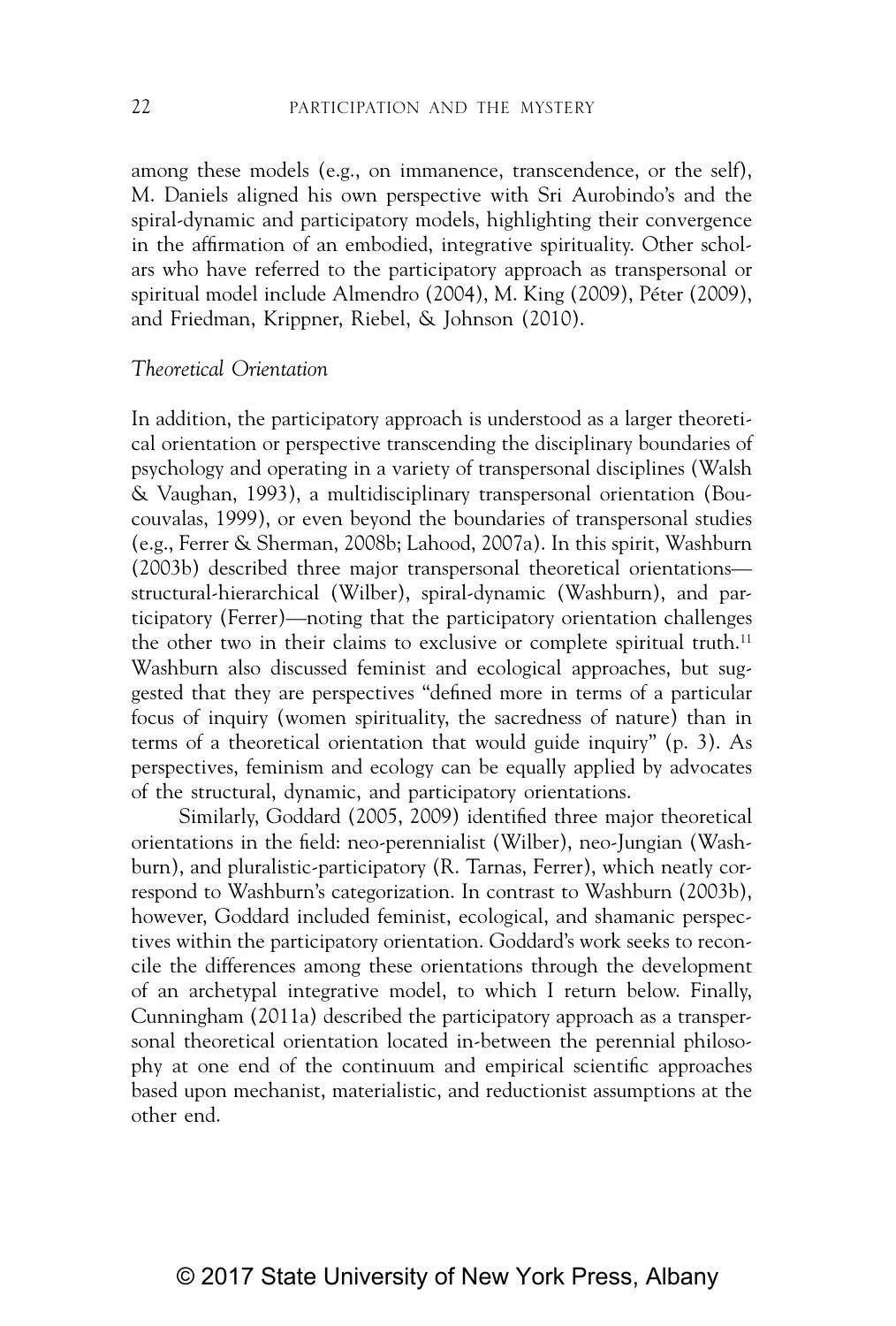among these models (e.g., on immanence, transcendence, or the self), M. Daniels aligned his own perspective with Sri Aurobindo's and the spiral-dynamic and participatory models, highlighting their convergence in the affirmation of an embodied, integrative spirituality. Other scholars who have referred to the participatory approach as transpersonal or spiritual model include Almendro (2004), M. King (2009), Péter (2009), and Friedman, Krippner, Riebel, & Johnson (2010).

## *Theoretical Orientation*

In addition, the participatory approach is understood as a larger theoretical orientation or perspective transcending the disciplinary boundaries of psychology and operating in a variety of transpersonal disciplines (Walsh & Vaughan, 1993), a multidisciplinary transpersonal orientation (Boucouvalas, 1999), or even beyond the boundaries of transpersonal studies (e.g., Ferrer & Sherman, 2008b; Lahood, 2007a). In this spirit, Washburn (2003b) described three major transpersonal theoretical orientations structural-hierarchical (Wilber), spiral-dynamic (Washburn), and participatory (Ferrer)—noting that the participatory orientation challenges the other two in their claims to exclusive or complete spiritual truth.<sup>11</sup> Washburn also discussed feminist and ecological approaches, but suggested that they are perspectives "defined more in terms of a particular focus of inquiry (women spirituality, the sacredness of nature) than in terms of a theoretical orientation that would guide inquiry" (p. 3). As perspectives, feminism and ecology can be equally applied by advocates of the structural, dynamic, and participatory orientations.

Similarly, Goddard (2005, 2009) identified three major theoretical orientations in the field: neo-perennialist (Wilber), neo-Jungian (Washburn), and pluralistic-participatory (R. Tarnas, Ferrer), which neatly correspond to Washburn's categorization. In contrast to Washburn (2003b), however, Goddard included feminist, ecological, and shamanic perspectives within the participatory orientation. Goddard's work seeks to reconcile the differences among these orientations through the development of an archetypal integrative model, to which I return below. Finally, Cunningham (2011a) described the participatory approach as a transpersonal theoretical orientation located in-between the perennial philosophy at one end of the continuum and empirical scientific approaches based upon mechanist, materialistic, and reductionist assumptions at the other end.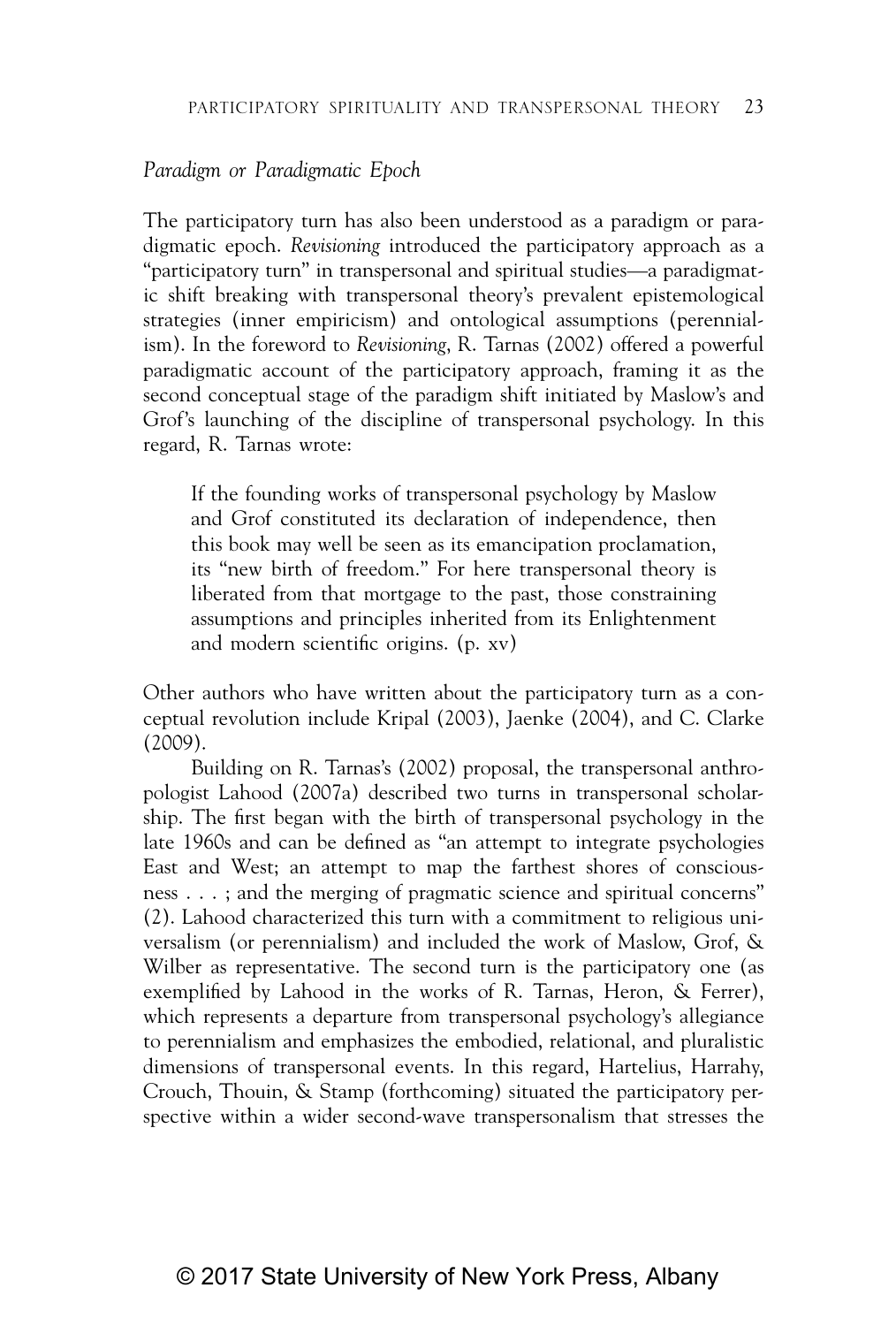## *Paradigm or Paradigmatic Epoch*

The participatory turn has also been understood as a paradigm or paradigmatic epoch. *Revisioning* introduced the participatory approach as a "participatory turn" in transpersonal and spiritual studies—a paradigmatic shift breaking with transpersonal theory's prevalent epistemological strategies (inner empiricism) and ontological assumptions (perennialism). In the foreword to *Revisioning*, R. Tarnas (2002) offered a powerful paradigmatic account of the participatory approach, framing it as the second conceptual stage of the paradigm shift initiated by Maslow's and Grof's launching of the discipline of transpersonal psychology. In this regard, R. Tarnas wrote:

If the founding works of transpersonal psychology by Maslow and Grof constituted its declaration of independence, then this book may well be seen as its emancipation proclamation, its "new birth of freedom." For here transpersonal theory is liberated from that mortgage to the past, those constraining assumptions and principles inherited from its Enlightenment and modern scientific origins. (p. xv)

Other authors who have written about the participatory turn as a conceptual revolution include Kripal (2003), Jaenke (2004), and C. Clarke (2009).

Building on R. Tarnas's (2002) proposal, the transpersonal anthropologist Lahood (2007a) described two turns in transpersonal scholarship. The first began with the birth of transpersonal psychology in the late 1960s and can be defined as "an attempt to integrate psychologies East and West; an attempt to map the farthest shores of consciousness . . . ; and the merging of pragmatic science and spiritual concerns" (2). Lahood characterized this turn with a commitment to religious universalism (or perennialism) and included the work of Maslow, Grof, & Wilber as representative. The second turn is the participatory one (as exemplified by Lahood in the works of R. Tarnas, Heron, & Ferrer), which represents a departure from transpersonal psychology's allegiance to perennialism and emphasizes the embodied, relational, and pluralistic dimensions of transpersonal events. In this regard, Hartelius, Harrahy, Crouch, Thouin, & Stamp (forthcoming) situated the participatory perspective within a wider second-wave transpersonalism that stresses the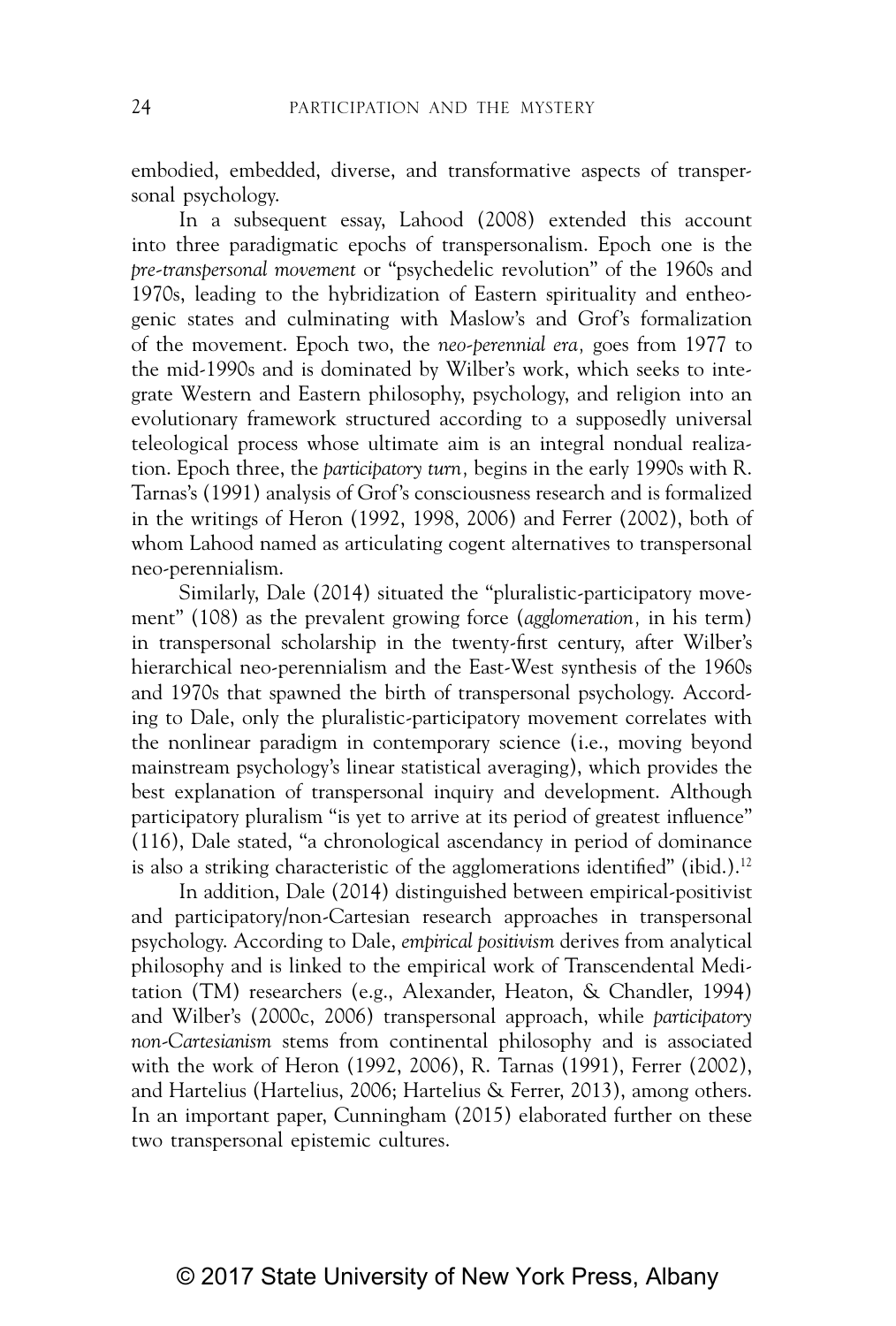embodied, embedded, diverse, and transformative aspects of transpersonal psychology.

In a subsequent essay, Lahood (2008) extended this account into three paradigmatic epochs of transpersonalism. Epoch one is the *pre-transpersonal movement* or "psychedelic revolution" of the 1960s and 1970s, leading to the hybridization of Eastern spirituality and entheogenic states and culminating with Maslow's and Grof's formalization of the movement. Epoch two, the *neo-perennial era,* goes from 1977 to the mid-1990s and is dominated by Wilber's work, which seeks to integrate Western and Eastern philosophy, psychology, and religion into an evolutionary framework structured according to a supposedly universal teleological process whose ultimate aim is an integral nondual realization. Epoch three, the *participatory turn,* begins in the early 1990s with R. Tarnas's (1991) analysis of Grof's consciousness research and is formalized in the writings of Heron (1992, 1998, 2006) and Ferrer (2002), both of whom Lahood named as articulating cogent alternatives to transpersonal neo-perennialism.

Similarly, Dale (2014) situated the "pluralistic-participatory movement" (108) as the prevalent growing force (*agglomeration,* in his term) in transpersonal scholarship in the twenty-first century, after Wilber's hierarchical neo-perennialism and the East-West synthesis of the 1960s and 1970s that spawned the birth of transpersonal psychology. According to Dale, only the pluralistic-participatory movement correlates with the nonlinear paradigm in contemporary science (i.e., moving beyond mainstream psychology's linear statistical averaging), which provides the best explanation of transpersonal inquiry and development. Although participatory pluralism "is yet to arrive at its period of greatest influence" (116), Dale stated, "a chronological ascendancy in period of dominance is also a striking characteristic of the agglomerations identified" (ibid.).<sup>12</sup>

In addition, Dale (2014) distinguished between empirical-positivist and participatory/non-Cartesian research approaches in transpersonal psychology. According to Dale, *empirical positivism* derives from analytical philosophy and is linked to the empirical work of Transcendental Meditation (TM) researchers (e.g., Alexander, Heaton, & Chandler, 1994) and Wilber's (2000c, 2006) transpersonal approach, while *participatory non-Cartesianism* stems from continental philosophy and is associated with the work of Heron (1992, 2006), R. Tarnas (1991), Ferrer (2002), and Hartelius (Hartelius, 2006; Hartelius & Ferrer, 2013), among others. In an important paper, Cunningham (2015) elaborated further on these two transpersonal epistemic cultures.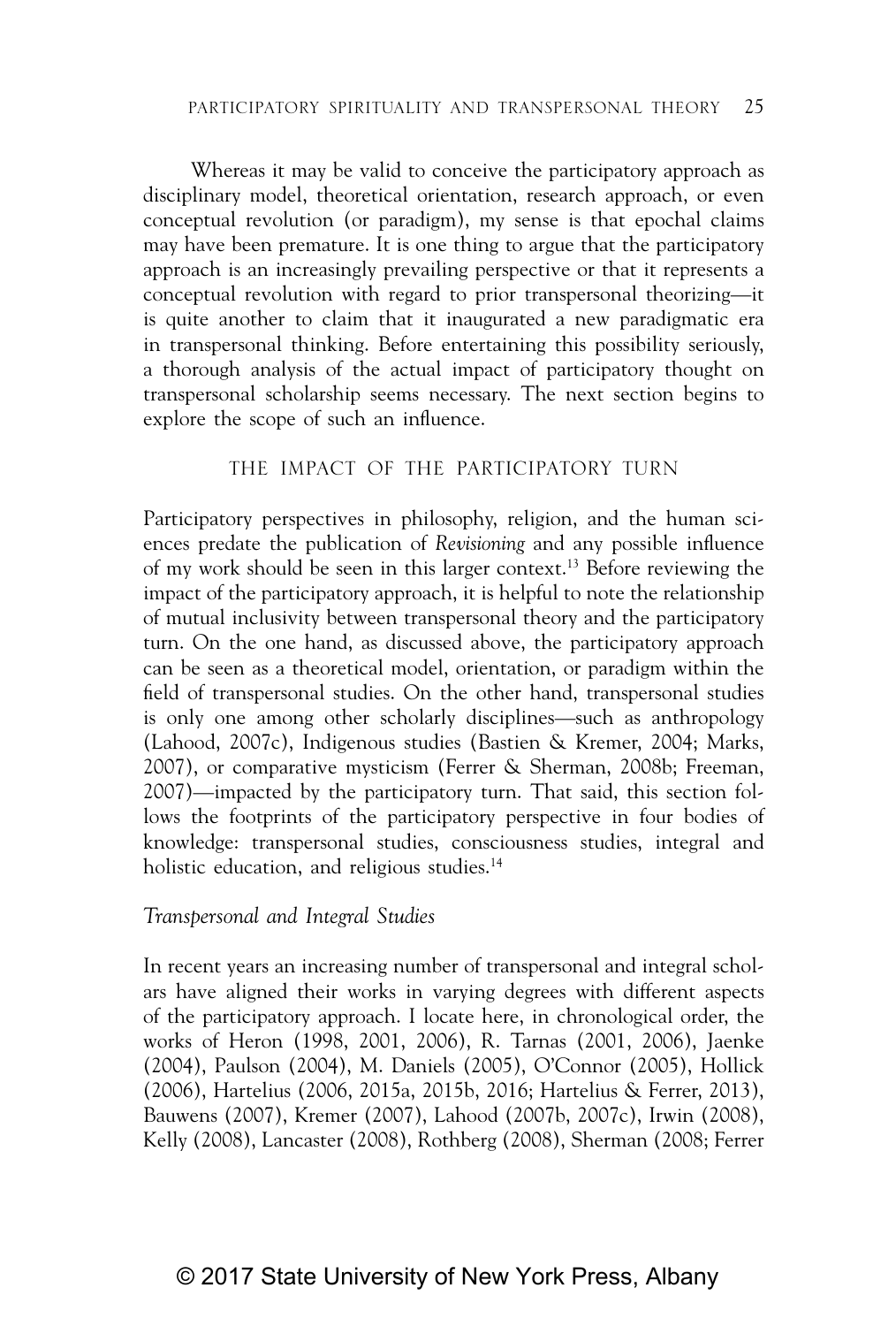Whereas it may be valid to conceive the participatory approach as disciplinary model, theoretical orientation, research approach, or even conceptual revolution (or paradigm), my sense is that epochal claims may have been premature. It is one thing to argue that the participatory approach is an increasingly prevailing perspective or that it represents a conceptual revolution with regard to prior transpersonal theorizing—it is quite another to claim that it inaugurated a new paradigmatic era in transpersonal thinking. Before entertaining this possibility seriously, a thorough analysis of the actual impact of participatory thought on transpersonal scholarship seems necessary. The next section begins to explore the scope of such an influence.

## THE IMPACT OF THE PARTICIPATORY TURN

Participatory perspectives in philosophy, religion, and the human sciences predate the publication of *Revisioning* and any possible influence of my work should be seen in this larger context.13 Before reviewing the impact of the participatory approach, it is helpful to note the relationship of mutual inclusivity between transpersonal theory and the participatory turn. On the one hand, as discussed above, the participatory approach can be seen as a theoretical model, orientation, or paradigm within the field of transpersonal studies. On the other hand, transpersonal studies is only one among other scholarly disciplines—such as anthropology (Lahood, 2007c), Indigenous studies (Bastien & Kremer, 2004; Marks, 2007), or comparative mysticism (Ferrer & Sherman, 2008b; Freeman, 2007)—impacted by the participatory turn. That said, this section follows the footprints of the participatory perspective in four bodies of knowledge: transpersonal studies, consciousness studies, integral and holistic education, and religious studies.<sup>14</sup>

## *Transpersonal and Integral Studies*

In recent years an increasing number of transpersonal and integral scholars have aligned their works in varying degrees with different aspects of the participatory approach. I locate here, in chronological order, the works of Heron (1998, 2001, 2006), R. Tarnas (2001, 2006), Jaenke (2004), Paulson (2004), M. Daniels (2005), O'Connor (2005), Hollick (2006), Hartelius (2006, 2015a, 2015b, 2016; Hartelius & Ferrer, 2013), Bauwens (2007), Kremer (2007), Lahood (2007b, 2007c), Irwin (2008), Kelly (2008), Lancaster (2008), Rothberg (2008), Sherman (2008; Ferrer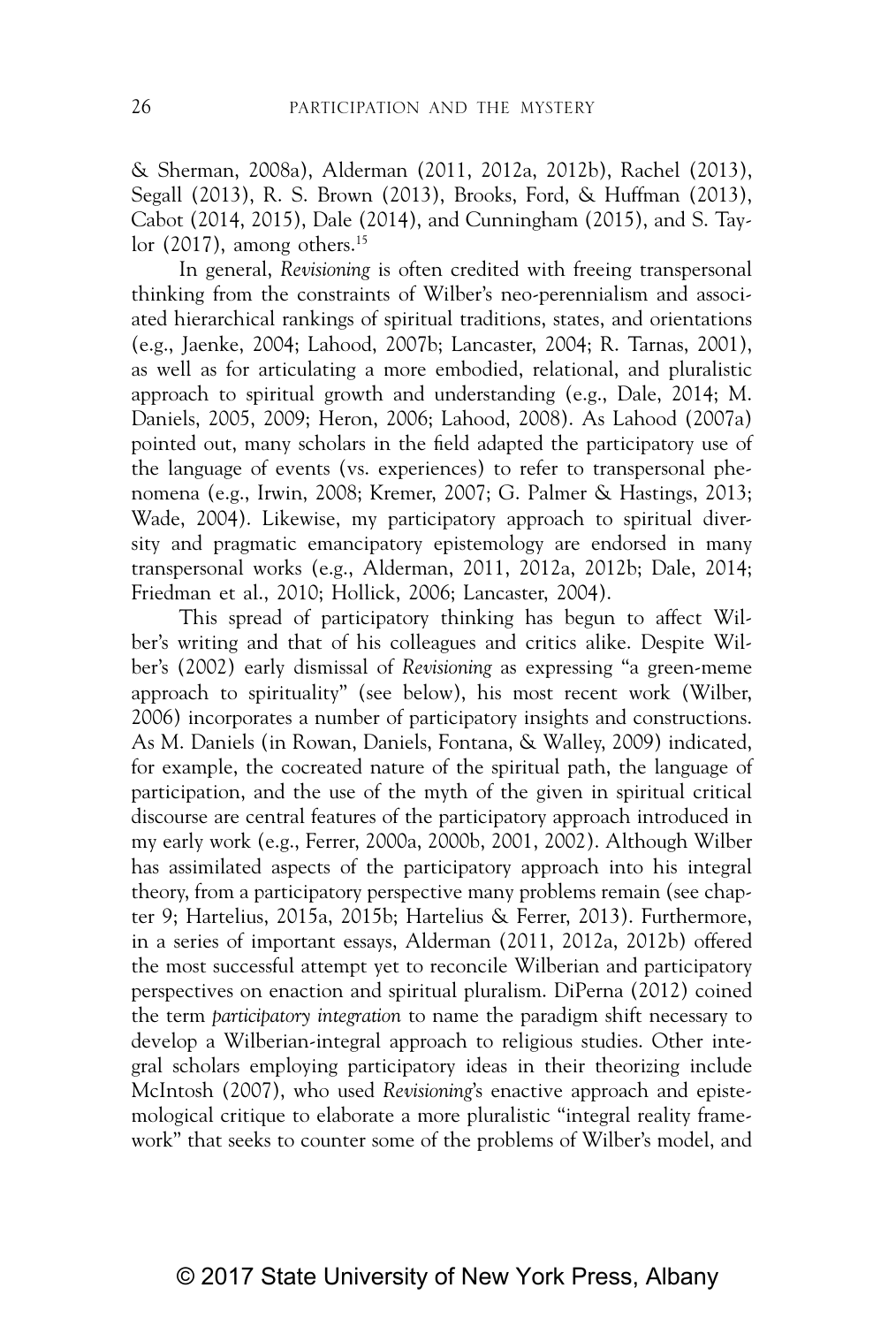& Sherman, 2008a), Alderman (2011, 2012a, 2012b), Rachel (2013), Segall (2013), R. S. Brown (2013), Brooks, Ford, & Huffman (2013), Cabot (2014, 2015), Dale (2014), and Cunningham (2015), and S. Taylor  $(2017)$ , among others.<sup>15</sup>

In general, *Revisioning* is often credited with freeing transpersonal thinking from the constraints of Wilber's neo-perennialism and associated hierarchical rankings of spiritual traditions, states, and orientations (e.g., Jaenke, 2004; Lahood, 2007b; Lancaster, 2004; R. Tarnas, 2001), as well as for articulating a more embodied, relational, and pluralistic approach to spiritual growth and understanding (e.g., Dale, 2014; M. Daniels, 2005, 2009; Heron, 2006; Lahood, 2008). As Lahood (2007a) pointed out, many scholars in the field adapted the participatory use of the language of events (vs. experiences) to refer to transpersonal phenomena (e.g., Irwin, 2008; Kremer, 2007; G. Palmer & Hastings, 2013; Wade, 2004). Likewise, my participatory approach to spiritual diversity and pragmatic emancipatory epistemology are endorsed in many transpersonal works (e.g., Alderman, 2011, 2012a, 2012b; Dale, 2014; Friedman et al., 2010; Hollick, 2006; Lancaster, 2004).

This spread of participatory thinking has begun to affect Wilber's writing and that of his colleagues and critics alike. Despite Wilber's (2002) early dismissal of *Revisioning* as expressing "a green-meme approach to spirituality" (see below), his most recent work (Wilber, 2006) incorporates a number of participatory insights and constructions. As M. Daniels (in Rowan, Daniels, Fontana, & Walley, 2009) indicated, for example, the cocreated nature of the spiritual path, the language of participation, and the use of the myth of the given in spiritual critical discourse are central features of the participatory approach introduced in my early work (e.g., Ferrer, 2000a, 2000b, 2001, 2002). Although Wilber has assimilated aspects of the participatory approach into his integral theory, from a participatory perspective many problems remain (see chapter 9; Hartelius, 2015a, 2015b; Hartelius & Ferrer, 2013). Furthermore, in a series of important essays, Alderman (2011, 2012a, 2012b) offered the most successful attempt yet to reconcile Wilberian and participatory perspectives on enaction and spiritual pluralism. DiPerna (2012) coined the term *participatory integration* to name the paradigm shift necessary to develop a Wilberian-integral approach to religious studies. Other integral scholars employing participatory ideas in their theorizing include McIntosh (2007), who used *Revisioning*'s enactive approach and epistemological critique to elaborate a more pluralistic "integral reality framework" that seeks to counter some of the problems of Wilber's model, and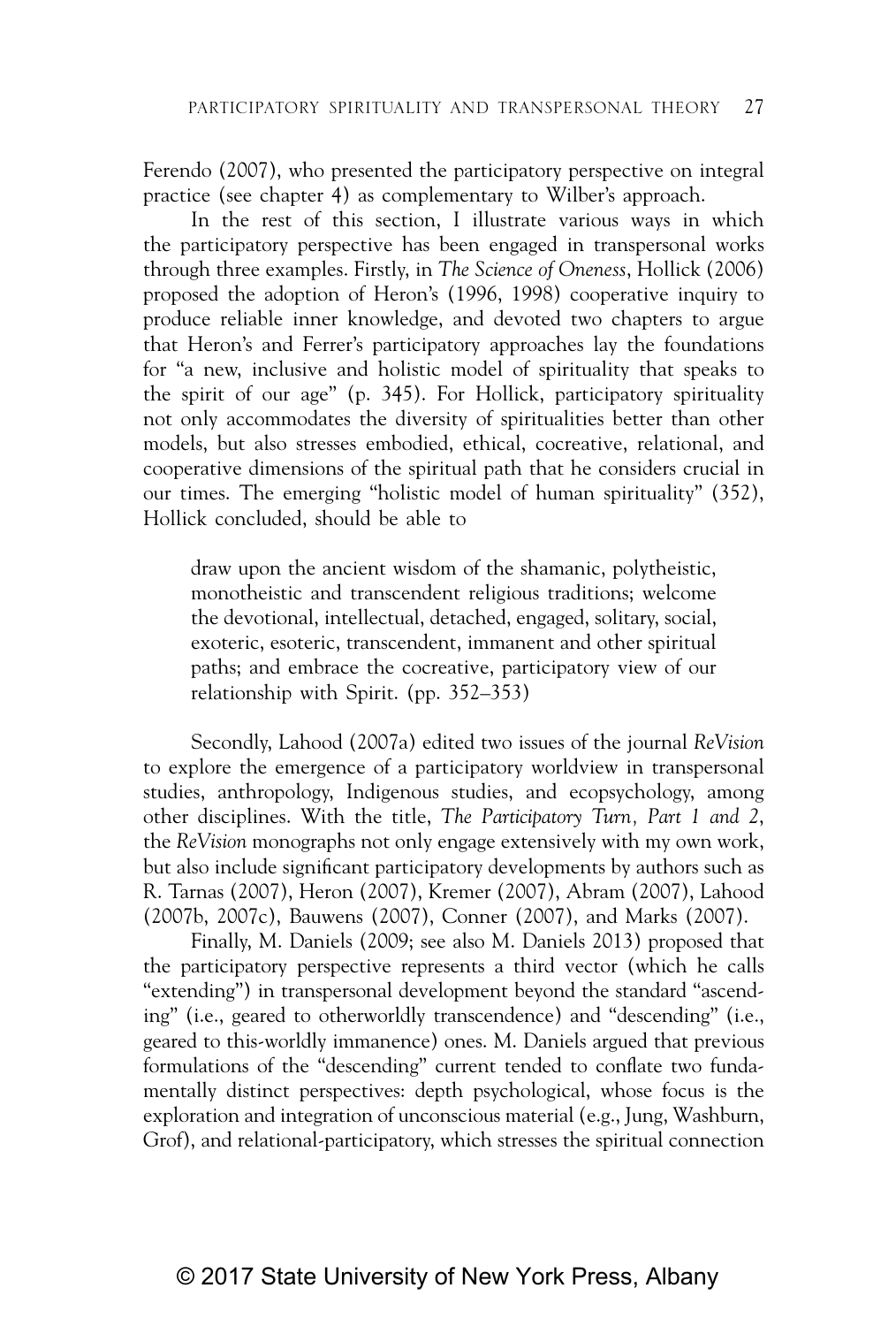Ferendo (2007), who presented the participatory perspective on integral practice (see chapter 4) as complementary to Wilber's approach.

In the rest of this section, I illustrate various ways in which the participatory perspective has been engaged in transpersonal works through three examples. Firstly, in *The Science of Oneness*, Hollick (2006) proposed the adoption of Heron's (1996, 1998) cooperative inquiry to produce reliable inner knowledge, and devoted two chapters to argue that Heron's and Ferrer's participatory approaches lay the foundations for "a new, inclusive and holistic model of spirituality that speaks to the spirit of our age" (p. 345). For Hollick, participatory spirituality not only accommodates the diversity of spiritualities better than other models, but also stresses embodied, ethical, cocreative, relational, and cooperative dimensions of the spiritual path that he considers crucial in our times. The emerging "holistic model of human spirituality" (352), Hollick concluded, should be able to

draw upon the ancient wisdom of the shamanic, polytheistic, monotheistic and transcendent religious traditions; welcome the devotional, intellectual, detached, engaged, solitary, social, exoteric, esoteric, transcendent, immanent and other spiritual paths; and embrace the cocreative, participatory view of our relationship with Spirit. (pp. 352–353)

Secondly, Lahood (2007a) edited two issues of the journal *ReVision* to explore the emergence of a participatory worldview in transpersonal studies, anthropology, Indigenous studies, and ecopsychology, among other disciplines. With the title, *The Participatory Turn, Part 1 and 2*, the *ReVision* monographs not only engage extensively with my own work, but also include significant participatory developments by authors such as R. Tarnas (2007), Heron (2007), Kremer (2007), Abram (2007), Lahood (2007b, 2007c), Bauwens (2007), Conner (2007), and Marks (2007).

Finally, M. Daniels (2009; see also M. Daniels 2013) proposed that the participatory perspective represents a third vector (which he calls "extending") in transpersonal development beyond the standard "ascending" (i.e., geared to otherworldly transcendence) and "descending" (i.e., geared to this-worldly immanence) ones. M. Daniels argued that previous formulations of the "descending" current tended to conflate two fundamentally distinct perspectives: depth psychological, whose focus is the exploration and integration of unconscious material (e.g., Jung, Washburn, Grof), and relational-participatory, which stresses the spiritual connection